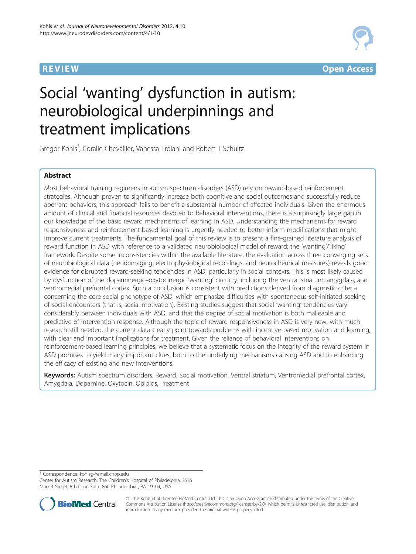# R EVI EW Open Access



# Social 'wanting' dysfunction in autism: neurobiological underpinnings and treatment implications

Gregor Kohls\* , Coralie Chevallier, Vanessa Troiani and Robert T Schultz

## **Abstract**

Most behavioral training regimens in autism spectrum disorders (ASD) rely on reward-based reinforcement strategies. Although proven to significantly increase both cognitive and social outcomes and successfully reduce aberrant behaviors, this approach fails to benefit a substantial number of affected individuals. Given the enormous amount of clinical and financial resources devoted to behavioral interventions, there is a surprisingly large gap in our knowledge of the basic reward mechanisms of learning in ASD. Understanding the mechanisms for reward responsiveness and reinforcement-based learning is urgently needed to better inform modifications that might improve current treatments. The fundamental goal of this review is to present a fine-grained literature analysis of reward function in ASD with reference to a validated neurobiological model of reward: the 'wanting'/'liking' framework. Despite some inconsistencies within the available literature, the evaluation across three converging sets of neurobiological data (neuroimaging, electrophysiological recordings, and neurochemical measures) reveals good evidence for disrupted reward-seeking tendencies in ASD, particularly in social contexts. This is most likely caused by dysfunction of the dopaminergic–oxytocinergic 'wanting' circuitry, including the ventral striatum, amygdala, and ventromedial prefrontal cortex. Such a conclusion is consistent with predictions derived from diagnostic criteria concerning the core social phenotype of ASD, which emphasize difficulties with spontaneous self-initiated seeking of social encounters (that is, social motivation). Existing studies suggest that social 'wanting' tendencies vary considerably between individuals with ASD, and that the degree of social motivation is both malleable and predictive of intervention response. Although the topic of reward responsiveness in ASD is very new, with much research still needed, the current data clearly point towards problems with incentive-based motivation and learning, with clear and important implications for treatment. Given the reliance of behavioral interventions on reinforcement-based learning principles, we believe that a systematic focus on the integrity of the reward system in ASD promises to yield many important clues, both to the underlying mechanisms causing ASD and to enhancing the efficacy of existing and new interventions.

Keywords: Autism spectrum disorders, Reward, Social motivation, Ventral striatum, Ventromedial prefrontal cortex, Amygdala, Dopamine, Oxytocin, Opioids, Treatment

\* Correspondence: [kohlsg@email.chop.edu](mailto:kohlsg@email.chop.edu)

Center for Autism Research, The Children's Hospital of Philadelphia, 3535 Market Street, 8th floor, Suite 860 Philadelphia , PA 19104, USA



© 2012 Kohls et al.; licensee BioMed Central Ltd. This is an Open Access article distributed under the terms of the Creative Commons Attribution License (http://creativecommons.org/licenses/by/2.0), which permits unrestricted use, distribution, and reproduction in any medium, provided the original work is properly cited.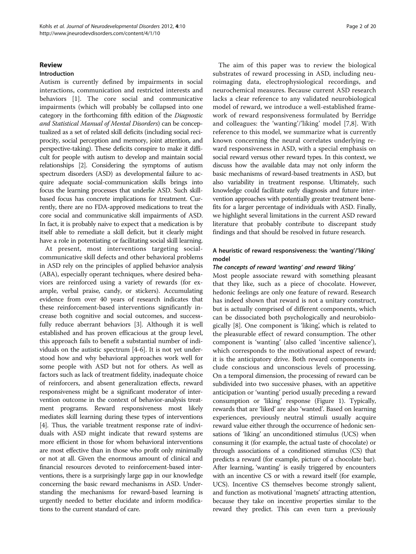#### **Review**

# Introduction

Autism is currently defined by impairments in social interactions, communication and restricted interests and behaviors [\[1](#page-14-0)]. The core social and communicative impairments (which will probably be collapsed into one category in the forthcoming fifth edition of the Diagnostic and Statistical Manual of Mental Disorders) can be conceptualized as a set of related skill deficits (including social reciprocity, social perception and memory, joint attention, and perspective-taking). These deficits conspire to make it difficult for people with autism to develop and maintain social relationships [\[2\]](#page-14-0). Considering the symptoms of autism spectrum disorders (ASD) as developmental failure to acquire adequate social-communication skills brings into focus the learning processes that underlie ASD. Such skillbased focus has concrete implications for treatment. Currently, there are no FDA-approved medications to treat the core social and communicative skill impairments of ASD. In fact, it is probably naive to expect that a medication is by itself able to remediate a skill deficit, but it clearly might have a role in potentiating or facilitating social skill learning.

At present, most interventions targeting socialcommunicative skill defects and other behavioral problems in ASD rely on the principles of applied behavior analysis (ABA), especially operant techniques, where desired behaviors are reinforced using a variety of rewards (for example, verbal praise, candy, or stickers). Accumulating evidence from over 40 years of research indicates that these reinforcement-based interventions significantly increase both cognitive and social outcomes, and successfully reduce aberrant behaviors [\[3\]](#page-14-0). Although it is well established and has proven efficacious at the group level, this approach fails to benefit a substantial number of individuals on the autistic spectrum [\[4-6](#page-14-0)]. It is not yet understood how and why behavioral approaches work well for some people with ASD but not for others. As well as factors such as lack of treatment fidelity, inadequate choice of reinforcers, and absent generalization effects, reward responsiveness might be a significant moderator of intervention outcome in the context of behavior-analysis treatment programs. Reward responsiveness most likely mediates skill learning during these types of interventions [[4](#page-14-0)]. Thus, the variable treatment response rate of individuals with ASD might indicate that reward systems are more efficient in those for whom behavioral interventions are most effective than in those who profit only minimally or not at all. Given the enormous amount of clinical and financial resources devoted to reinforcement-based interventions, there is a surprisingly large gap in our knowledge concerning the basic reward mechanisms in ASD. Understanding the mechanisms for reward-based learning is urgently needed to better elucidate and inform modifications to the current standard of care.

The aim of this paper was to review the biological substrates of reward processing in ASD, including neuroimaging data, electrophysiological recordings, and neurochemical measures. Because current ASD research lacks a clear reference to any validated neurobiological model of reward, we introduce a well-established framework of reward responsiveness formulated by Berridge and colleagues: the 'wanting'/'liking' model [[7,8\]](#page-14-0). With reference to this model, we summarize what is currently known concerning the neural correlates underlying reward responsiveness in ASD, with a special emphasis on social reward versus other reward types. In this context, we discuss how the available data may not only inform the basic mechanisms of reward-based treatments in ASD, but also variability in treatment response. Ultimately, such knowledge could facilitate early diagnosis and future intervention approaches with potentially greater treatment benefits for a larger percentage of individuals with ASD. Finally, we highlight several limitations in the current ASD reward literature that probably contribute to discrepant study findings and that should be resolved in future research.

#### A heuristic of reward responsiveness: the 'wanting'/'liking' model

#### The concepts of reward 'wanting' and reward 'liking'

Most people associate reward with something pleasant that they like, such as a piece of chocolate. However, hedonic feelings are only one feature of reward. Research has indeed shown that reward is not a unitary construct, but is actually comprised of different components, which can be dissociated both psychologically and neurobiologically [[8\]](#page-14-0). One component is 'liking', which is related to the pleasurable effect of reward consumption. The other component is 'wanting' (also called 'incentive salience'), which corresponds to the motivational aspect of reward; it is the anticipatory drive. Both reward components include conscious and unconscious levels of processing. On a temporal dimension, the processing of reward can be subdivided into two successive phases, with an appetitive anticipation or 'wanting' period usually preceding a reward consumption or 'liking' response (Figure [1](#page-2-0)). Typically, rewards that are 'liked' are also 'wanted'. Based on learning experiences, previously neutral stimuli usually acquire reward value either through the occurrence of hedonic sensations of 'liking' an unconditioned stimulus (UCS) when consuming it (for example, the actual taste of chocolate) or through associations of a conditioned stimulus (CS) that predicts a reward (for example, picture of a chocolate bar). After learning, 'wanting' is easily triggered by encounters with an incentive CS or with a reward itself (for example, UCS). Incentive CS themselves become strongly salient, and function as motivational 'magnets' attracting attention, because they take on incentive properties similar to the reward they predict. This can even turn a previously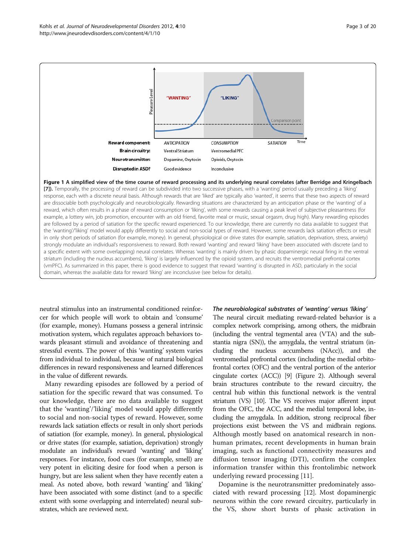<span id="page-2-0"></span>

[[7](#page-14-0)]). Temporally, the processing of reward can be subdivided into two successive phases, with a 'wanting' period usually preceding a 'liking' response, each with a discrete neural basis. Although rewards that are 'liked' are typically also 'wanted', it seems that these two aspects of reward are dissociable both psychologically and neurobiologically. Rewarding situations are characterized by an anticipation phase or the 'wanting' of a reward, which often results in a phase of reward consumption or 'liking', with some rewards causing a peak level of subjective pleasantness (for example, a lottery win, job promotion, encounter with an old friend, favorite meal or music, sexual orgasm, drug high). Many rewarding episodes are followed by a period of satiation for the specific reward experienced. To our knowledge, there are currently no data available to suggest that the 'wanting'/'liking' model would apply differently to social and non-social types of reward. However, some rewards lack satiation effects or result in only short periods of satiation (for example, money). In general, physiological or drive states (for example, satiation, deprivation, stress, anxiety) strongly modulate an individual's responsiveness to reward. Both reward 'wanting' and reward 'liking' have been associated with discrete (and to a specific extent with some overlapping) neural correlates. Whereas 'wanting' is mainly driven by phasic dopaminergic neural firing in the ventral striatum (including the nucleus accumbens), 'liking' is largely influenced by the opioid system, and recruits the ventromedial prefrontal cortex (vmPFC). As summarized in this paper, there is good evidence to suggest that reward 'wanting' is disrupted in ASD, particularly in the social domain, whereas the available data for reward 'liking' are inconclusive (see below for details).

neutral stimulus into an instrumental conditioned reinforcer for which people will work to obtain and 'consume' (for example, money). Humans possess a general intrinsic motivation system, which regulates approach behaviors towards pleasant stimuli and avoidance of threatening and stressful events. The power of this 'wanting' system varies from individual to individual, because of natural biological differences in reward responsiveness and learned differences in the value of different rewards.

Many rewarding episodes are followed by a period of satiation for the specific reward that was consumed. To our knowledge, there are no data available to suggest that the 'wanting'/'liking' model would apply differently to social and non-social types of reward. However, some rewards lack satiation effects or result in only short periods of satiation (for example, money). In general, physiological or drive states (for example, satiation, deprivation) strongly modulate an individual's reward 'wanting' and 'liking' responses. For instance, food cues (for example, smell) are very potent in eliciting desire for food when a person is hungry, but are less salient when they have recently eaten a meal. As noted above, both reward 'wanting' and 'liking' have been associated with some distinct (and to a specific extent with some overlapping and interrelated) neural substrates, which are reviewed next.

#### The neurobiological substrates of 'wanting' versus 'liking'

The neural circuit mediating reward-related behavior is a complex network comprising, among others, the midbrain (including the ventral tegmental area (VTA) and the substantia nigra (SN)), the amygdala, the ventral striatum (including the nucleus accumbens (NAcc)), and the ventromedial prefrontal cortex (including the medial orbitofrontal cortex (OFC) and the ventral portion of the anterior cingulate cortex (ACC)) [[9](#page-14-0)] (Figure [2](#page-3-0)). Although several brain structures contribute to the reward circuitry, the central hub within this functional network is the ventral striatum (VS) [\[10](#page-14-0)]. The VS receives major afferent input from the OFC, the ACC, and the medial temporal lobe, including the amygdala. In addition, strong reciprocal fiber projections exist between the VS and midbrain regions. Although mostly based on anatomical research in nonhuman primates, recent developments in human brain imaging, such as functional connectivity measures and diffusion tensor imaging (DTI), confirm the complex information transfer within this frontolimbic network underlying reward processing [[11\]](#page-14-0).

Dopamine is the neurotransmitter predominately associated with reward processing [\[12\]](#page-14-0). Most dopaminergic neurons within the core reward circuitry, particularly in the VS, show short bursts of phasic activation in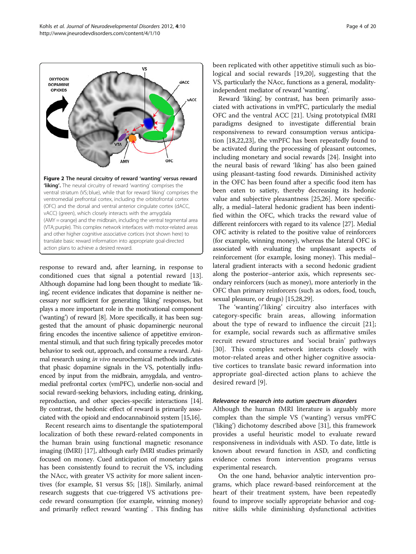<span id="page-3-0"></span>Kohls et al. Journal of Neurodevelopmental Disorders 2012, 4:10 Page 4 of 20 Page 4 of 20 http://www.jneurodevdisorders.com/content/4/1/10



response to reward and, after learning, in response to conditioned cues that signal a potential reward [\[13](#page-14-0)]. Although dopamine had long been thought to mediate 'liking, recent evidence indicates that dopamine is neither necessary nor sufficient for generating 'liking' responses, but plays a more important role in the motivational component ('wanting') of reward [\[8\]](#page-14-0). More specifically, it has been suggested that the amount of phasic dopaminergic neuronal firing encodes the incentive salience of appetitive environmental stimuli, and that such firing typically precedes motor behavior to seek out, approach, and consume a reward. Animal research using *in vivo* neurochemical methods indicates that phasic dopamine signals in the VS, potentially influenced by input from the midbrain, amygdala, and ventromedial prefrontal cortex (vmPFC), underlie non-social and social reward-seeking behaviors, including eating, drinking, reproduction, and other species-specific interactions [\[14](#page-14-0)]. By contrast, the hedonic effect of reward is primarily associated with the opioid and endocannabinoid system [\[15,16](#page-14-0)].

Recent research aims to disentangle the spatiotemporal localization of both these reward-related components in the human brain using functional magnetic resonance imaging (fMRI) [[17](#page-14-0)], although early fMRI studies primarily focused on money. Cued anticipation of monetary gains has been consistently found to recruit the VS, including the NAcc, with greater VS activity for more salient incentives (for example, \$1 versus \$5; [\[18\]](#page-14-0)). Similarly, animal research suggests that cue-triggered VS activations precede reward consumption (for example, winning money) and primarily reflect reward 'wanting' . This finding has

been replicated with other appetitive stimuli such as biological and social rewards [\[19](#page-14-0),[20\]](#page-14-0), suggesting that the VS, particularly the NAcc, functions as a general, modalityindependent mediator of reward 'wanting'.

Reward 'liking', by contrast, has been primarily associated with activations in vmPFC, particularly the medial OFC and the ventral ACC [\[21\]](#page-14-0). Using prototypical fMRI paradigms designed to investigate differential brain responsiveness to reward consumption versus anticipation [\[18,22,23\]](#page-14-0), the vmPFC has been repeatedly found to be activated during the processing of pleasant outcomes, including monetary and social rewards [\[24\]](#page-14-0). Insight into the neural basis of reward 'liking' has also been gained using pleasant-tasting food rewards. Diminished activity in the OFC has been found after a specific food item has been eaten to satiety, thereby decreasing its hedonic value and subjective pleasantness [[25](#page-15-0),[26](#page-15-0)]. More specifically, a medial–lateral hedonic gradient has been indentified within the OFC, which tracks the reward value of different reinforcers with regard to its valence [\[27](#page-15-0)]. Medial OFC activity is related to the positive value of reinforcers (for example, winning money), whereas the lateral OFC is associated with evaluating the unpleasant aspects of reinforcement (for example, losing money). This medial– lateral gradient interacts with a second hedonic gradient along the posterior–anterior axis, which represents secondary reinforcers (such as money), more anteriorly in the OFC than primary reinforcers (such as odors, food, touch, sexual pleasure, or drugs) [[15](#page-14-0)[,28,29](#page-15-0)].

The 'wanting'/'liking' circuitry also interfaces with category-specific brain areas, allowing information about the type of reward to influence the circuit [[21](#page-14-0)]; for example, social rewards such as affirmative smiles recruit reward structures and 'social brain' pathways [[30](#page-15-0)]. This complex network interacts closely with motor-related areas and other higher cognitive associative cortices to translate basic reward information into appropriate goal-directed action plans to achieve the desired reward [\[9](#page-14-0)].

#### Relevance to research into autism spectrum disorders

Although the human fMRI literature is arguably more complex than the simple VS ('wanting') versus vmPFC ('liking') dichotomy described above [[31](#page-15-0)], this framework provides a useful heuristic model to evaluate reward responsiveness in individuals with ASD. To date, little is known about reward function in ASD, and conflicting evidence comes from intervention programs versus experimental research.

On the one hand, behavior analytic intervention programs, which place reward-based reinforcement at the heart of their treatment system, have been repeatedly found to improve socially appropriate behavior and cognitive skills while diminishing dysfunctional activities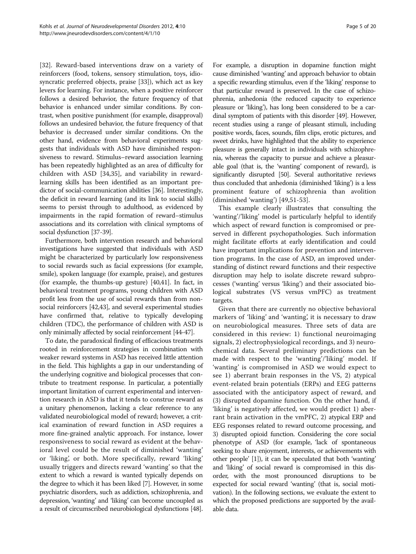[[32\]](#page-15-0). Reward-based interventions draw on a variety of reinforcers (food, tokens, sensory stimulation, toys, idiosyncratic preferred objects, praise [\[33\]](#page-15-0)), which act as key levers for learning. For instance, when a positive reinforcer follows a desired behavior, the future frequency of that behavior is enhanced under similar conditions. By contrast, when positive punishment (for example, disapproval) follows an undesired behavior, the future frequency of that behavior is decreased under similar conditions. On the other hand, evidence from behavioral experiments suggests that individuals with ASD have diminished responsiveness to reward. Stimulus–reward association learning has been repeatedly highlighted as an area of difficulty for children with ASD [[34,35\]](#page-15-0), and variability in rewardlearning skills has been identified as an important predictor of social-communication abilities [\[36\]](#page-15-0). Interestingly, the deficit in reward learning (and its link to social skills) seems to persist through to adulthood, as evidenced by impairments in the rapid formation of reward–stimulus associations and its correlation with clinical symptoms of social dysfunction [[37](#page-15-0)-[39](#page-15-0)].

Furthermore, both intervention research and behavioral investigations have suggested that individuals with ASD might be characterized by particularly low responsiveness to social rewards such as facial expressions (for example, smile), spoken language (for example, praise), and gestures (for example, the thumbs-up gesture) [[40,41\]](#page-15-0). In fact, in behavioral treatment programs, young children with ASD profit less from the use of social rewards than from nonsocial reinforcers [[42,43](#page-15-0)], and several experimental studies have confirmed that, relative to typically developing children (TDC), the performance of children with ASD is only minimally affected by social reinforcement [[44-47](#page-15-0)].

To date, the paradoxical finding of efficacious treatments rooted in reinforcement strategies in combination with weaker reward systems in ASD has received little attention in the field. This highlights a gap in our understanding of the underlying cognitive and biological processes that contribute to treatment response. In particular, a potentially important limitation of current experimental and intervention research in ASD is that it tends to construe reward as a unitary phenomenon, lacking a clear reference to any validated neurobiological model of reward; however, a critical examination of reward function in ASD requires a more fine-grained analytic approach. For instance, lower responsiveness to social reward as evident at the behavioral level could be the result of diminished 'wanting' or 'liking', or both. More specifically, reward 'liking' usually triggers and directs reward 'wanting' so that the extent to which a reward is wanted typically depends on the degree to which it has been liked [\[7](#page-14-0)]. However, in some psychiatric disorders, such as addiction, schizophrenia, and depression, 'wanting' and 'liking' can become uncoupled as a result of circumscribed neurobiological dysfunctions [\[48](#page-15-0)].

For example, a disruption in dopamine function might cause diminished 'wanting' and approach behavior to obtain a specific rewarding stimulus, even if the 'liking' response to that particular reward is preserved. In the case of schizophrenia, anhedonia (the reduced capacity to experience pleasure or 'liking'), has long been considered to be a cardinal symptom of patients with this disorder [[49](#page-15-0)]. However, recent studies using a range of pleasant stimuli, including positive words, faces, sounds, film clips, erotic pictures, and sweet drinks, have highlighted that the ability to experience pleasure is generally intact in individuals with schizophrenia, whereas the capacity to pursue and achieve a pleasurable goal (that is, the 'wanting' component of reward), is significantly disrupted [[50](#page-15-0)]. Several authoritative reviews thus concluded that anhedonia (diminished 'liking') is a less prominent feature of schizophrenia than avolition (diminished 'wanting') [[49,51-53](#page-15-0)].

This example clearly illustrates that consulting the 'wanting'/'liking' model is particularly helpful to identify which aspect of reward function is compromised or preserved in different psychopathologies. Such information might facilitate efforts at early identification and could have important implications for prevention and intervention programs. In the case of ASD, an improved understanding of distinct reward functions and their respective disruption may help to isolate discrete reward subprocesses ('wanting' versus 'liking') and their associated biological substrates (VS versus vmPFC) as treatment targets.

Given that there are currently no objective behavioral markers of 'liking' and 'wanting', it is necessary to draw on neurobiological measures. Three sets of data are considered in this review: 1) functional neuroimaging signals, 2) electrophysiological recordings, and 3) neurochemical data. Several preliminary predictions can be made with respect to the 'wanting'/'liking' model. If 'wanting' is compromised in ASD we would expect to see 1) aberrant brain responses in the VS, 2) atypical event-related brain potentials (ERPs) and EEG patterns associated with the anticipatory aspect of reward, and (3) disrupted dopamine function. On the other hand, if 'liking' is negatively affected, we would predict 1) aberrant brain activation in the vmPFC, 2) atypical ERP and EEG responses related to reward outcome processing, and 3) disrupted opioid function. Considering the core social phenotype of ASD (for example, 'lack of spontaneous seeking to share enjoyment, interests, or achievements with other people' [\[1](#page-14-0)]), it can be speculated that both 'wanting' and 'liking' of social reward is compromised in this disorder, with the most pronounced disruptions to be expected for social reward 'wanting' (that is, social motivation). In the following sections, we evaluate the extent to which the proposed predictions are supported by the available data.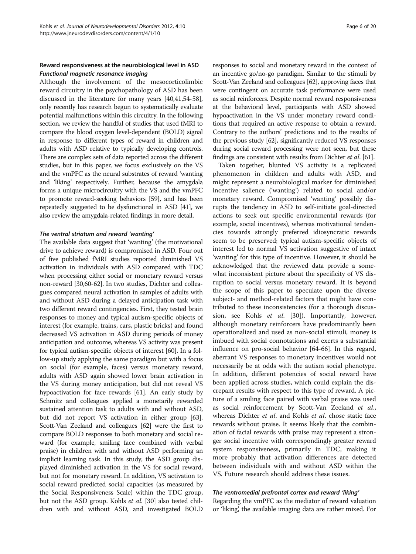## Reward responsiveness at the neurobiological level in ASD Functional magnetic resonance imaging

Although the involvement of the mesocorticolimbic reward circuitry in the psychopathology of ASD has been discussed in the literature for many years [\[40,41,54-58](#page-15-0)], only recently has research begun to systematically evaluate potential malfunctions within this circuitry. In the following section, we review the handful of studies that used fMRI to compare the blood oxygen level-dependent (BOLD) signal in response to different types of reward in children and adults with ASD relative to typically developing controls. There are complex sets of data reported across the different studies, but in this paper, we focus exclusively on the VS and the vmPFC as the neural substrates of reward 'wanting and 'liking' respectively. Further, because the amygdala forms a unique microcircuitry with the VS and the vmPFC to promote reward-seeking behaviors [\[59\]](#page-15-0), and has been repeatedly suggested to be dysfunctional in ASD [\[41\]](#page-15-0), we also review the amygdala-related findings in more detail.

#### The ventral striatum and reward 'wanting'

The available data suggest that 'wanting' (the motivational drive to achieve reward) is compromised in ASD. Four out of five published fMRI studies reported diminished VS activation in individuals with ASD compared with TDC when processing either social or monetary reward versus non-reward [\[30,60-62\]](#page-15-0). In two studies, Dichter and colleagues compared neural activation in samples of adults with and without ASD during a delayed anticipation task with two different reward contingencies. First, they tested brain responses to money and typical autism-specific objects of interest (for example, trains, cars, plastic bricks) and found decreased VS activation in ASD during periods of money anticipation and outcome, whereas VS activity was present for typical autism-specific objects of interest [\[60\]](#page-15-0). In a follow-up study applying the same paradigm but with a focus on social (for example, faces) versus monetary reward, adults with ASD again showed lower brain activation in the VS during money anticipation, but did not reveal VS hypoactivation for face rewards [\[61\]](#page-15-0). An early study by Schmitz and colleagues applied a monetarily rewarded sustained attention task to adults with and without ASD, but did not report VS activation in either group [[63](#page-15-0)]. Scott-Van Zeeland and colleagues [\[62\]](#page-15-0) were the first to compare BOLD responses to both monetary and social reward (for example, smiling face combined with verbal praise) in children with and without ASD performing an implicit learning task. In this study, the ASD group displayed diminished activation in the VS for social reward, but not for monetary reward. In addition, VS activation to social reward predicted social capacities (as measured by the Social Responsiveness Scale) within the TDC group, but not the ASD group. Kohls et al. [[30](#page-15-0)] also tested children with and without ASD, and investigated BOLD

responses to social and monetary reward in the context of an incentive go/no-go paradigm. Similar to the stimuli by Scott-Van Zeeland and colleagues [\[62\]](#page-15-0), approving faces that were contingent on accurate task performance were used as social reinforcers. Despite normal reward responsiveness at the behavioral level, participants with ASD showed hypoactivation in the VS under monetary reward conditions that required an active response to obtain a reward. Contrary to the authors' predictions and to the results of the previous study [\[62](#page-15-0)], significantly reduced VS responses during social reward processing were not seen, but these findings are consistent with results from Dichter et al. [\[61\]](#page-15-0).

Taken together, blunted VS activity is a replicated phenomenon in children and adults with ASD, and might represent a neurobiological marker for diminished incentive salience ('wanting') related to social and/or monetary reward. Compromised 'wanting' possibly disrupts the tendency in ASD to self-initiate goal-directed actions to seek out specific environmental rewards (for example, social incentives), whereas motivational tendencies towards strongly preferred idiosyncratic rewards seem to be preserved; typical autism-specific objects of interest led to normal VS activation suggestive of intact 'wanting' for this type of incentive. However, it should be acknowledged that the reviewed data provide a somewhat inconsistent picture about the specificity of VS disruption to social versus monetary reward. It is beyond the scope of this paper to speculate upon the diverse subject- and method-related factors that might have contributed to these inconsistencies (for a thorough discus-sion, see Kohls et al. [[30\]](#page-15-0)). Importantly, however, although monetary reinforcers have predominantly been operationalized and used as non-social stimuli, money is imbued with social connotations and exerts a substantial influence on pro-social behavior [[64](#page-15-0)-[66\]](#page-15-0). In this regard, aberrant VS responses to monetary incentives would not necessarily be at odds with the autism social phenotype. In addition, different potencies of social reward have been applied across studies, which could explain the discrepant results with respect to this type of reward. A picture of a smiling face paired with verbal praise was used as social reinforcement by Scott-Van Zeeland et al., whereas Dichter et al. and Kohls et al. chose static face rewards without praise. It seems likely that the combination of facial rewards with praise may represent a stronger social incentive with correspondingly greater reward system responsiveness, primarily in TDC, making it more probably that activation differences are detected between individuals with and without ASD within the VS. Future research should address these issues.

## The ventromedial prefrontal cortex and reward 'liking'

Regarding the vmPFC as the mediator of reward valuation or 'liking', the available imaging data are rather mixed. For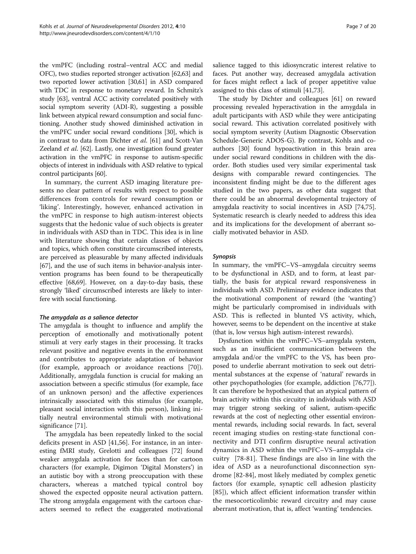the vmPFC (including rostral–ventral ACC and medial OFC), two studies reported stronger activation [[62,63\]](#page-15-0) and two reported lower activation [[30,61\]](#page-15-0) in ASD compared with TDC in response to monetary reward. In Schmitz's study [[63](#page-15-0)], ventral ACC activity correlated positively with social symptom severity (ADI-R), suggesting a possible link between atypical reward consumption and social functioning. Another study showed diminished activation in the vmPFC under social reward conditions [\[30](#page-15-0)], which is in contrast to data from Dichter et al. [\[61](#page-15-0)] and Scott-Van Zeeland et al. [\[62\]](#page-15-0). Lastly, one investigation found greater activation in the vmPFC in response to autism-specific objects of interest in individuals with ASD relative to typical control participants [[60](#page-15-0)].

In summary, the current ASD imaging literature presents no clear pattern of results with respect to possible differences from controls for reward consumption or 'liking'. Interestingly, however, enhanced activation in the vmPFC in response to high autism-interest objects suggests that the hedonic value of such objects is greater in individuals with ASD than in TDC. This idea is in line with literature showing that certain classes of objects and topics, which often constitute circumscribed interests, are perceived as pleasurable by many affected individuals [[67](#page-15-0)], and the use of such items in behavior-analysis intervention programs has been found to be therapeutically effective [[68,69\]](#page-15-0). However, on a day-to-day basis, these strongly 'liked' circumscribed interests are likely to interfere with social functioning.

#### The amygdala as a salience detector

The amygdala is thought to influence and amplify the perception of emotionally and motivationally potent stimuli at very early stages in their processing. It tracks relevant positive and negative events in the environment and contributes to appropriate adaptation of behavior (for example, approach or avoidance reactions [\[70](#page-15-0)]). Additionally, amygdala function is crucial for making an association between a specific stimulus (for example, face of an unknown person) and the affective experiences intrinsically associated with this stimulus (for example, pleasant social interaction with this person), linking initially neutral environmental stimuli with motivational significance [[71\]](#page-15-0).

The amygdala has been repeatedly linked to the social deficits present in ASD [\[41,56\]](#page-15-0). For instance, in an interesting fMRI study, Grelotti and colleagues [[72](#page-15-0)] found weaker amygdala activation for faces than for cartoon characters (for example, Digimon 'Digital Monsters') in an autistic boy with a strong preoccupation with these characters, whereas a matched typical control boy showed the expected opposite neural activation pattern. The strong amygdala engagement with the cartoon characters seemed to reflect the exaggerated motivational salience tagged to this idiosyncratic interest relative to faces. Put another way, decreased amygdala activation for faces might reflect a lack of proper appetitive value assigned to this class of stimuli [\[41,73](#page-15-0)].

The study by Dichter and colleagues [[61\]](#page-15-0) on reward processing revealed hyperactivation in the amygdala in adult participants with ASD while they were anticipating social reward. This activation correlated positively with social symptom severity (Autism Diagnostic Observation Schedule-Generic ADOS-G). By contrast, Kohls and coauthors [[30](#page-15-0)] found hypoactivation in this brain area under social reward conditions in children with the disorder. Both studies used very similar experimental task designs with comparable reward contingencies. The inconsistent finding might be due to the different ages studied in the two papers, as other data suggest that there could be an abnormal developmental trajectory of amygdala reactivity to social incentives in ASD [[74](#page-15-0),[75](#page-15-0)]. Systematic research is clearly needed to address this idea and its implications for the development of aberrant socially motivated behavior in ASD.

#### Synopsis

In summary, the vmPFC–VS–amygdala circuitry seems to be dysfunctional in ASD, and to form, at least partially, the basis for atypical reward responsiveness in individuals with ASD. Preliminary evidence indicates that the motivational component of reward (the 'wanting') might be particularly compromised in individuals with ASD. This is reflected in blunted VS activity, which, however, seems to be dependent on the incentive at stake (that is, low versus high autism-interest rewards).

Dysfunction within the vmPFC–VS–amygdala system, such as an insufficient communication between the amygdala and/or the vmPFC to the VS, has been proposed to underlie aberrant motivation to seek out detrimental substances at the expense of 'natural' rewards in other psychopathologies (for example, addiction [\[76,77](#page-15-0)]). It can therefore be hypothesized that an atypical pattern of brain activity within this circuitry in individuals with ASD may trigger strong seeking of salient, autism-specific rewards at the cost of neglecting other essential environmental rewards, including social rewards. In fact, several recent imaging studies on resting-state functional connectivity and DTI confirm disruptive neural activation dynamics in ASD within the vmPFC–VS–amygdala circuitry [\[78](#page-16-0)-[81\]](#page-16-0). These findings are also in line with the idea of ASD as a neurofunctional disconnection syndrome [[82-84](#page-16-0)], most likely mediated by complex genetic factors (for example, synaptic cell adhesion plasticity [[85\]](#page-16-0)), which affect efficient information transfer within the mesocorticolimbic reward circuitry and may cause aberrant motivation, that is, affect 'wanting' tendencies.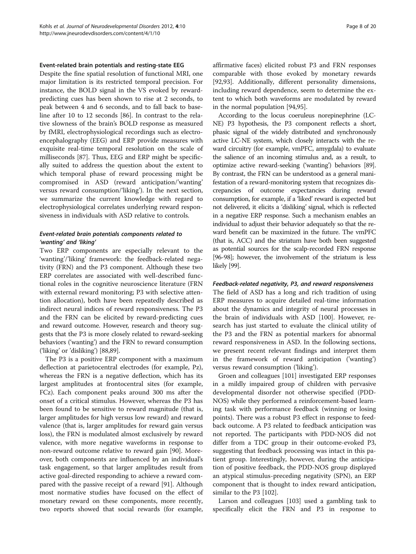#### Event-related brain potentials and resting-state EEG

Despite the fine spatial resolution of functional MRI, one major limitation is its restricted temporal precision. For instance, the BOLD signal in the VS evoked by rewardpredicting cues has been shown to rise at 2 seconds, to peak between 4 and 6 seconds, and to fall back to baseline after 10 to 12 seconds [\[86](#page-16-0)]. In contrast to the relative slowness of the brain's BOLD response as measured by fMRI, electrophysiological recordings such as electroencephalography (EEG) and ERP provide measures with exquisite real-time temporal resolution on the scale of milliseconds [\[87](#page-16-0)]. Thus, EEG and ERP might be specifically suited to address the question about the extent to which temporal phase of reward processing might be compromised in ASD (reward anticipation/'wanting' versus reward consumption/'liking'). In the next section, we summarize the current knowledge with regard to electrophysiological correlates underlying reward responsiveness in individuals with ASD relative to controls.

#### Event-related brain potentials components related to 'wanting' and 'liking'

Two ERP components are especially relevant to the 'wanting'/'liking' framework: the feedback-related negativity (FRN) and the P3 component. Although these two ERP correlates are associated with well-described functional roles in the cognitive neuroscience literature (FRN with external reward monitoring; P3 with selective attention allocation), both have been repeatedly described as indirect neural indices of reward responsiveness. The P3 and the FRN can be elicited by reward-predicting cues and reward outcome. However, research and theory suggests that the P3 is more closely related to reward-seeking behaviors ('wanting') and the FRN to reward consumption ('liking' or 'disliking') [[88,89\]](#page-16-0).

The P3 is a positive ERP component with a maximum deflection at parietocentral electrodes (for example, Pz), whereas the FRN is a negative deflection, which has its largest amplitudes at frontocentral sites (for example, FCz). Each component peaks around 300 ms after the onset of a critical stimulus. However, whereas the P3 has been found to be sensitive to reward magnitude (that is, larger amplitudes for high versus low reward) and reward valence (that is, larger amplitudes for reward gain versus loss), the FRN is modulated almost exclusively by reward valence, with more negative waveforms in response to non-reward outcome relative to reward gain [\[90](#page-16-0)]. Moreover, both components are influenced by an individual's task engagement, so that larger amplitudes result from active goal-directed responding to achieve a reward compared with the passive receipt of a reward [\[91\]](#page-16-0). Although most normative studies have focused on the effect of monetary reward on these components, more recently, two reports showed that social rewards (for example,

affirmative faces) elicited robust P3 and FRN responses comparable with those evoked by monetary rewards [[92,93\]](#page-16-0). Additionally, different personality dimensions, including reward dependence, seem to determine the extent to which both waveforms are modulated by reward in the normal population [\[94,95](#page-16-0)].

According to the locus coeruleus norepinephrine (LC-NE) P3 hypothesis, the P3 component reflects a short, phasic signal of the widely distributed and synchronously active LC-NE system, which closely interacts with the reward circuitry (for example, vmPFC, amygdala) to evaluate the salience of an incoming stimulus and, as a result, to optimize active reward-seeking ('wanting') behaviors [\[89](#page-16-0)]. By contrast, the FRN can be understood as a general manifestation of a reward-monitoring system that recognizes discrepancies of outcome expectancies during reward consumption, for example, if a 'liked' reward is expected but not delivered, it elicits a 'disliking' signal, which is reflected in a negative ERP response. Such a mechanism enables an individual to adjust their behavior adequately so that the reward benefit can be maximized in the future. The vmPFC (that is, ACC) and the striatum have both been suggested as potential sources for the scalp-recorded FRN response [[96-98\]](#page-16-0); however, the involvement of the striatum is less likely [\[99\]](#page-16-0).

#### Feedback-related negativity, P3, and reward responsiveness

The field of ASD has a long and rich tradition of using ERP measures to acquire detailed real-time information about the dynamics and integrity of neural processes in the brain of individuals with ASD [\[100](#page-16-0)]. However, research has just started to evaluate the clinical utility of the P3 and the FRN as potential markers for abnormal reward responsiveness in ASD. In the following sections, we present recent relevant findings and interpret them in the framework of reward anticipation ('wanting') versus reward consumption ('liking').

Groen and colleagues [\[101\]](#page-16-0) investigated ERP responses in a mildly impaired group of children with pervasive developmental disorder not otherwise specified (PDD-NOS) while they performed a reinforcement-based learning task with performance feedback (winning or losing points). There was a robust P3 effect in response to feedback outcome. A P3 related to feedback anticipation was not reported. The participants with PDD-NOS did not differ from a TDC group in their outcome-evoked P3, suggesting that feedback processing was intact in this patient group. Interestingly, however, during the anticipation of positive feedback, the PDD-NOS group displayed an atypical stimulus-preceding negativity (SPN), an ERP component that is thought to index reward anticipation, similar to the P3 [[102](#page-16-0)].

Larson and colleagues [[103](#page-16-0)] used a gambling task to specifically elicit the FRN and P3 in response to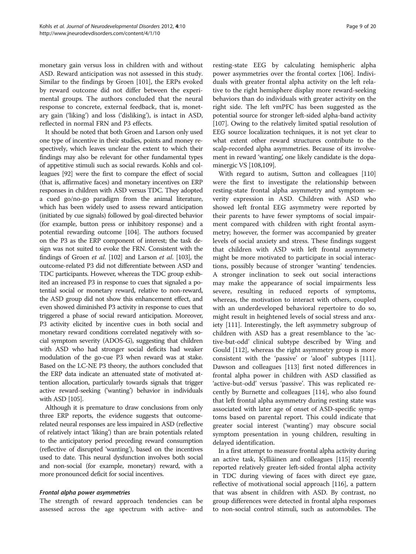monetary gain versus loss in children with and without ASD. Reward anticipation was not assessed in this study. Similar to the findings by Groen [\[101\]](#page-16-0), the ERPs evoked by reward outcome did not differ between the experimental groups. The authors concluded that the neural response to concrete, external feedback, that is, monetary gain ('liking') and loss ('disliking'), is intact in ASD, reflected in normal FRN and P3 effects.

It should be noted that both Groen and Larson only used one type of incentive in their studies, points and money respectively, which leaves unclear the extent to which their findings may also be relevant for other fundamental types of appetitive stimuli such as social rewards. Kohls and colleagues [\[92](#page-16-0)] were the first to compare the effect of social (that is, affirmative faces) and monetary incentives on ERP responses in children with ASD versus TDC. They adopted a cued go/no-go paradigm from the animal literature, which has been widely used to assess reward anticipation (initiated by cue signals) followed by goal-directed behavior (for example, button press or inhibitory response) and a potential rewarding outcome [\[104](#page-16-0)]. The authors focused on the P3 as the ERP component of interest; the task design was not suited to evoke the FRN. Consistent with the findings of Groen et al. [\[102\]](#page-16-0) and Larson et al. [\[103](#page-16-0)], the outcome-related P3 did not differentiate between ASD and TDC participants. However, whereas the TDC group exhibited an increased P3 in response to cues that signaled a potential social or monetary reward, relative to non-reward, the ASD group did not show this enhancement effect, and even showed diminished P3 activity in response to cues that triggered a phase of social reward anticipation. Moreover, P3 activity elicited by incentive cues in both social and monetary reward conditions correlated negatively with social symptom severity (ADOS-G), suggesting that children with ASD who had stronger social deficits had weaker modulation of the go-cue P3 when reward was at stake. Based on the LC-NE P3 theory, the authors concluded that the ERP data indicate an attenuated state of motivated attention allocation, particularly towards signals that trigger active reward-seeking ('wanting') behavior in individuals with ASD [[105\]](#page-16-0).

Although it is premature to draw conclusions from only three ERP reports, the evidence suggests that outcomerelated neural responses are less impaired in ASD (reflective of relatively intact 'liking') than are brain potentials related to the anticipatory period preceding reward consumption (reflective of disrupted 'wanting'), based on the incentives used to date. This neural dysfunction involves both social and non-social (for example, monetary) reward, with a more pronounced deficit for social incentives.

## Frontal alpha power asymmetries

The strength of reward approach tendencies can be assessed across the age spectrum with active- and

resting-state EEG by calculating hemispheric alpha power asymmetries over the frontal cortex [\[106\]](#page-16-0). Individuals with greater frontal alpha activity on the left relative to the right hemisphere display more reward-seeking behaviors than do individuals with greater activity on the right side. The left vmPFC has been suggested as the potential source for stronger left-sided alpha-band activity [[107](#page-16-0)]. Owing to the relatively limited spatial resolution of EEG source localization techniques, it is not yet clear to what extent other reward structures contribute to the scalp-recorded alpha asymmetries. Because of its involvement in reward 'wanting', one likely candidate is the dopaminergic VS [\[108,109](#page-16-0)].

With regard to autism, Sutton and colleagues [[110](#page-16-0)] were the first to investigate the relationship between resting-state frontal alpha asymmetry and symptom severity expression in ASD. Children with ASD who showed left frontal EEG asymmetry were reported by their parents to have fewer symptoms of social impairment compared with children with right frontal asymmetry; however, the former was accompanied by greater levels of social anxiety and stress. These findings suggest that children with ASD with left frontal asymmetry might be more motivated to participate in social interactions, possibly because of stronger 'wanting' tendencies. A stronger inclination to seek out social interactions may make the appearance of social impairments less severe, resulting in reduced reports of symptoms, whereas, the motivation to interact with others, coupled with an underdeveloped behavioral repertoire to do so, might result in heightened levels of social stress and anxiety [\[111\]](#page-16-0). Interestingly, the left asymmetry subgroup of children with ASD has a great resemblance to the 'active-but-odd' clinical subtype described by Wing and Gould [\[112\]](#page-16-0), whereas the right asymmetry group is more consistent with the 'passive' or 'aloof' subtypes [[111](#page-16-0)]. Dawson and colleagues [[113\]](#page-16-0) first noted differences in frontal alpha power in children with ASD classified as 'active-but-odd' versus 'passive'. This was replicated recently by Burnette and colleagues [\[114\]](#page-16-0), who also found that left frontal alpha asymmetry during resting state was associated with later age of onset of ASD-specific symptoms based on parental report. This could indicate that greater social interest ('wanting') may obscure social symptom presentation in young children, resulting in delayed identification.

In a first attempt to measure frontal alpha activity during an active task, Kylliäinen and colleagues [\[115\]](#page-16-0) recently reported relatively greater left-sided frontal alpha activity in TDC during viewing of faces with direct eye gaze, reflective of motivational social approach [[116](#page-16-0)], a pattern that was absent in children with ASD. By contrast, no group differences were detected in frontal alpha responses to non-social control stimuli, such as automobiles. The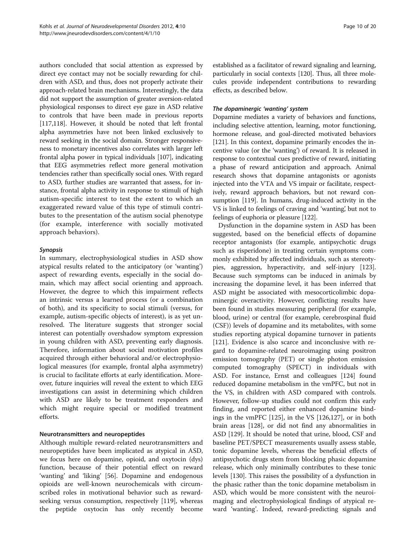authors concluded that social attention as expressed by direct eye contact may not be socially rewarding for children with ASD, and thus, does not properly activate their approach-related brain mechanisms. Interestingly, the data did not support the assumption of greater aversion-related physiological responses to direct eye gaze in ASD relative to controls that have been made in previous reports [[117,118\]](#page-16-0). However, it should be noted that left frontal alpha asymmetries have not been linked exclusively to reward seeking in the social domain. Stronger responsiveness to monetary incentives also correlates with larger left frontal alpha power in typical individuals [\[107\]](#page-16-0), indicating that EEG asymmetries reflect more general motivation tendencies rather than specifically social ones. With regard to ASD, further studies are warranted that assess, for instance, frontal alpha activity in response to stimuli of high autism-specific interest to test the extent to which an exaggerated reward value of this type of stimuli contributes to the presentation of the autism social phenotype (for example, interference with socially motivated approach behaviors).

## Synopsis

In summary, electrophysiological studies in ASD show atypical results related to the anticipatory (or 'wanting') aspect of rewarding events, especially in the social domain, which may affect social orienting and approach. However, the degree to which this impairment reflects an intrinsic versus a learned process (or a combination of both), and its specificity to social stimuli (versus, for example, autism-specific objects of interest), is as yet unresolved. The literature suggests that stronger social interest can potentially overshadow symptom expression in young children with ASD, preventing early diagnosis. Therefore, information about social motivation profiles acquired through either behavioral and/or electrophysiological measures (for example, frontal alpha asymmetry) is crucial to facilitate efforts at early identification. Moreover, future inquiries will reveal the extent to which EEG investigations can assist in determining which children with ASD are likely to be treatment responders and which might require special or modified treatment efforts.

## Neurotransmitters and neuropeptides

Although multiple reward-related neurotransmitters and neuropeptides have been implicated as atypical in ASD, we focus here on dopamine, opioid, and oxytocin (dys) function, because of their potential effect on reward 'wanting' and 'liking' [[56](#page-15-0)]. Dopamine and endogenous opioids are well-known neurochemicals with circumscribed roles in motivational behavior such as rewardseeking versus consumption, respectively [[119\]](#page-16-0), whereas the peptide oxytocin has only recently become

established as a facilitator of reward signaling and learning, particularly in social contexts [[120](#page-16-0)]. Thus, all three molecules provide independent contributions to rewarding effects, as described below.

#### The dopaminergic 'wanting' system

Dopamine mediates a variety of behaviors and functions, including selective attention, learning, motor functioning, hormone release, and goal-directed motivated behaviors [[121](#page-16-0)]. In this context, dopamine primarily encodes the incentive value (or the 'wanting') of reward. It is released in response to contextual cues predictive of reward, initiating a phase of reward anticipation and approach. Animal research shows that dopamine antagonists or agonists injected into the VTA and VS impair or facilitate, respectively, reward approach behaviors, but not reward consumption [[119](#page-16-0)]. In humans, drug-induced activity in the VS is linked to feelings of craving and 'wanting', but not to feelings of euphoria or pleasure [\[122](#page-16-0)].

Dysfunction in the dopamine system in ASD has been suggested, based on the beneficial effects of dopamine receptor antagonists (for example, antipsychotic drugs such as risperidone) in treating certain symptoms commonly exhibited by affected individuals, such as stereotypies, aggression, hyperactivity, and self-injury [[123](#page-16-0)]. Because such symptoms can be induced in animals by increasing the dopamine level, it has been inferred that ASD might be associated with mesocorticolimbic dopaminergic overactivity. However, conflicting results have been found in studies measuring peripheral (for example, blood, urine) or central (for example, cerebrospinal fluid (CSF)) levels of dopamine and its metabolites, with some studies reporting atypical dopamine turnover in patients [[121\]](#page-16-0). Evidence is also scarce and inconclusive with regard to dopamine-related neuroimaging using positron emission tomography (PET) or single photon emission computed tomography (SPECT) in individuals with ASD. For instance, Ernst and colleagues [\[124\]](#page-16-0) found reduced dopamine metabolism in the vmPFC, but not in the VS, in children with ASD compared with controls. However, follow-up studies could not confirm this early finding, and reported either enhanced dopamine bindings in the vmPFC [\[125\]](#page-17-0), in the VS [[126,127\]](#page-17-0), or in both brain areas [[128](#page-17-0)], or did not find any abnormalities in ASD [[129\]](#page-17-0). It should be noted that urine, blood, CSF and baseline PET/SPECT measurements usually assess stable, tonic dopamine levels, whereas the beneficial effects of antipsychotic drugs stem from blocking phasic dopamine release, which only minimally contributes to these tonic levels [\[130\]](#page-17-0). This raises the possibility of a dysfunction in the phasic rather than the tonic dopamine metabolism in ASD, which would be more consistent with the neuroimaging and electrophysiological findings of atypical reward 'wanting'. Indeed, reward-predicting signals and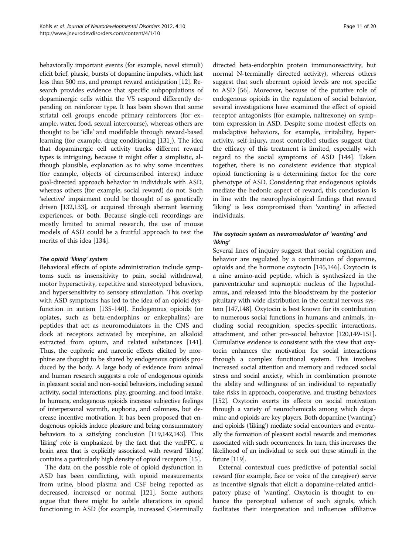behaviorally important events (for example, novel stimuli) elicit brief, phasic, bursts of dopamine impulses, which last less than 500 ms, and prompt reward anticipation [[12](#page-14-0)]. Research provides evidence that specific subpopulations of dopaminergic cells within the VS respond differently depending on reinforcer type. It has been shown that some striatal cell groups encode primary reinforcers (for example, water, food, sexual intercourse), whereas others are thought to be 'idle' and modifiable through reward-based learning (for example, drug conditioning [[131](#page-17-0)]). The idea that dopaminergic cell activity tracks different reward types is intriguing, because it might offer a simplistic, although plausible, explanation as to why some incentives (for example, objects of circumscribed interest) induce goal-directed approach behavior in individuals with ASD, whereas others (for example, social reward) do not. Such 'selective' impairment could be thought of as genetically driven [[132,133\]](#page-17-0), or acquired through aberrant learning experiences, or both. Because single-cell recordings are mostly limited to animal research, the use of mouse models of ASD could be a fruitful approach to test the merits of this idea [[134\]](#page-17-0).

## The opioid 'liking' system

Behavioral effects of opiate administration include symptoms such as insensitivity to pain, social withdrawal, motor hyperactivity, repetitive and stereotyped behaviors, and hypersensitivity to sensory stimulation. This overlap with ASD symptoms has led to the idea of an opioid dysfunction in autism [\[135-140](#page-17-0)]. Endogenous opioids (or opiates, such as beta-endorphins or enkephalins) are peptides that act as neuromodulators in the CNS and dock at receptors activated by morphine, an alkaloid extracted from opium, and related substances [[141](#page-17-0)]. Thus, the euphoric and narcotic effects elicited by morphine are thought to be shared by endogenous opioids produced by the body. A large body of evidence from animal and human research suggests a role of endogenous opioids in pleasant social and non-social behaviors, including sexual activity, social interactions, play, grooming, and food intake. In humans, endogenous opioids increase subjective feelings of interpersonal warmth, euphoria, and calmness, but decrease incentive motivation. It has been proposed that endogenous opioids induce pleasure and bring consummatory behaviors to a satisfying conclusion [\[119](#page-16-0)[,142,143](#page-17-0)]. This 'liking' role is emphasized by the fact that the vmPFC, a brain area that is explicitly associated with reward 'liking,' contains a particularly high density of opioid receptors [\[15](#page-14-0)].

The data on the possible role of opioid dysfunction in ASD has been conflicting, with opioid measurements from urine, blood plasma and CSF being reported as decreased, increased or normal [\[121\]](#page-16-0). Some authors argue that there might be subtle alterations in opioid functioning in ASD (for example, increased C-terminally

directed beta-endorphin protein immunoreactivity, but normal N-terminally directed activity), whereas others suggest that such aberrant opioid levels are not specific to ASD [[56\]](#page-15-0). Moreover, because of the putative role of endogenous opioids in the regulation of social behavior, several investigations have examined the effect of opioid receptor antagonists (for example, naltrexone) on symptom expression in ASD. Despite some modest effects on maladaptive behaviors, for example, irritability, hyperactivity, self-injury, most controlled studies suggest that the efficacy of this treatment is limited, especially with regard to the social symptoms of ASD [\[144\]](#page-17-0). Taken together, there is no consistent evidence that atypical opioid functioning is a determining factor for the core phenotype of ASD. Considering that endogenous opioids mediate the hedonic aspect of reward, this conclusion is in line with the neurophysiological findings that reward 'liking' is less compromised than 'wanting' in affected individuals.

## The oxytocin system as neuromodulator of 'wanting' and 'liking'

Several lines of inquiry suggest that social cognition and behavior are regulated by a combination of dopamine, opioids and the hormone oxytocin [\[145,146\]](#page-17-0). Oxytocin is a nine amino-acid peptide, which is synthesized in the paraventricular and supraoptic nucleus of the hypothalamus, and released into the bloodstream by the posterior pituitary with wide distribution in the central nervous system [\[147,148\]](#page-17-0). Oxytocin is best known for its contribution to numerous social functions in humans and animals, including social recognition, species-specific interactions, attachment, and other pro-social behavior [[120](#page-16-0)[,149-151](#page-17-0)]. Cumulative evidence is consistent with the view that oxytocin enhances the motivation for social interactions through a complex functional system. This involves increased social attention and memory and reduced social stress and social anxiety, which in combination promote the ability and willingness of an individual to repeatedly take risks in approach, cooperative, and trusting behaviors [[152](#page-17-0)]. Oxytocin exerts its effects on social motivation through a variety of neurochemicals among which dopamine and opioids are key players. Both dopamine ('wanting') and opioids ('liking') mediate social encounters and eventually the formation of pleasant social rewards and memories associated with such occurrences. In turn, this increases the likelihood of an individual to seek out these stimuli in the future [[119\]](#page-16-0).

External contextual cues predictive of potential social reward (for example, face or voice of the caregiver) serve as incentive signals that elicit a dopamine-related anticipatory phase of 'wanting'. Oxytocin is thought to enhance the perceptual salience of such signals, which facilitates their interpretation and influences affiliative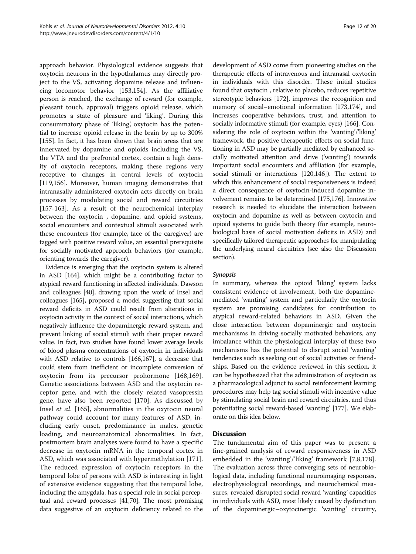approach behavior. Physiological evidence suggests that oxytocin neurons in the hypothalamus may directly project to the VS, activating dopamine release and influencing locomotor behavior [[153,154](#page-17-0)]. As the affiliative person is reached, the exchange of reward (for example, pleasant touch, approval) triggers opioid release, which promotes a state of pleasure and 'liking'. During this consummatory phase of 'liking', oxytocin has the potential to increase opioid release in the brain by up to 300% [[155](#page-17-0)]. In fact, it has been shown that brain areas that are innervated by dopamine and opioids including the VS, the VTA and the prefrontal cortex, contain a high density of oxytocin receptors, making these regions very receptive to changes in central levels of oxytocin [[119](#page-16-0),[156](#page-17-0)]. Moreover, human imaging demonstrates that intranasally administered oxytocin acts directly on brain processes by modulating social and reward circuitries [[157-163\]](#page-17-0). As a result of the neurochemical interplay between the oxytocin , dopamine, and opioid systems, social encounters and contextual stimuli associated with these encounters (for example, face of the caregiver) are tagged with positive reward value, an essential prerequisite for socially motivated approach behaviors (for example, orienting towards the caregiver).

Evidence is emerging that the oxytocin system is altered in ASD [\[164](#page-17-0)], which might be a contributing factor to atypical reward functioning in affected individuals. Dawson and colleagues [\[40\]](#page-15-0), drawing upon the work of Insel and colleagues [[165](#page-17-0)], proposed a model suggesting that social reward deficits in ASD could result from alterations in oxytocin activity in the context of social interactions, which negatively influence the dopaminergic reward system, and prevent linking of social stimuli with their proper reward value. In fact, two studies have found lower average levels of blood plasma concentrations of oxytocin in individuals with ASD relative to controls [\[166,167](#page-17-0)], a decrease that could stem from inefficient or incomplete conversion of oxytocin from its precursor prohormone [\[168,169](#page-17-0)]. Genetic associations between ASD and the oxytocin receptor gene, and with the closely related vasopressin gene, have also been reported [[170\]](#page-17-0). As discussed by Insel et al. [\[165](#page-17-0)], abnormalities in the oxytocin neural pathway could account for many features of ASD, including early onset, predominance in males, genetic loading, and neuroanatomical abnormalities. In fact, postmortem brain analyses were found to have a specific decrease in oxytocin mRNA in the temporal cortex in ASD, which was associated with hypermethylation [\[171](#page-17-0)]. The reduced expression of oxytocin receptors in the temporal lobe of persons with ASD is interesting in light of extensive evidence suggesting that the temporal lobe, including the amygdala, has a special role in social perceptual and reward processes [[41,70](#page-15-0)]. The most promising data suggestive of an oxytocin deficiency related to the

development of ASD come from pioneering studies on the therapeutic effects of intravenous and intranasal oxytocin in individuals with this disorder. These initial studies found that oxytocin , relative to placebo, reduces repetitive stereotypic behaviors [[172](#page-17-0)], improves the recognition and memory of social–emotional information [\[173](#page-18-0),[174\]](#page-18-0), and increases cooperative behaviors, trust, and attention to socially informative stimuli (for example, eyes) [[166](#page-17-0)]. Considering the role of oxytocin within the 'wanting'/'liking' framework, the positive therapeutic effects on social functioning in ASD may be partially mediated by enhanced socially motivated attention and drive ('wanting') towards important social encounters and affiliation (for example, social stimuli or interactions [\[120](#page-16-0)[,146](#page-17-0)]). The extent to which this enhancement of social responsiveness is indeed a direct consequence of oxytocin-induced dopamine involvement remains to be determined [\[175,176\]](#page-18-0). Innovative research is needed to elucidate the interaction between oxytocin and dopamine as well as between oxytocin and opioid systems to guide both theory (for example, neurobiological basis of social motivation deficits in ASD) and specifically tailored therapeutic approaches for manipulating the underlying neural circuitries (see also the Discussion section).

## Synopsis

In summary, whereas the opioid 'liking' system lacks consistent evidence of involvement, both the dopaminemediated 'wanting' system and particularly the oxytocin system are promising candidates for contribution to atypical reward-related behaviors in ASD. Given the close interaction between dopaminergic and oxytocin mechanisms in driving socially motivated behaviors, any imbalance within the physiological interplay of these two mechanisms has the potential to disrupt social 'wanting' tendencies such as seeking out of social activities or friendships. Based on the evidence reviewed in this section, it can be hypothesized that the administration of oxytocin as a pharmacological adjunct to social reinforcement learning procedures may help tag social stimuli with incentive value by stimulating social brain and reward circuitries, and thus potentiating social reward-based 'wanting' [\[177\]](#page-18-0). We elaborate on this idea below.

#### **Discussion**

The fundamental aim of this paper was to present a fine-grained analysis of reward responsiveness in ASD embedded in the 'wanting'/'liking' framework [[7,8](#page-14-0)[,178](#page-18-0)]. The evaluation across three converging sets of neurobiological data, including functional neuroimaging responses, electrophysiological recordings, and neurochemical measures, revealed disrupted social reward 'wanting' capacities in individuals with ASD, most likely caused by dysfunction of the dopaminergic–oxytocinergic 'wanting' circuitry,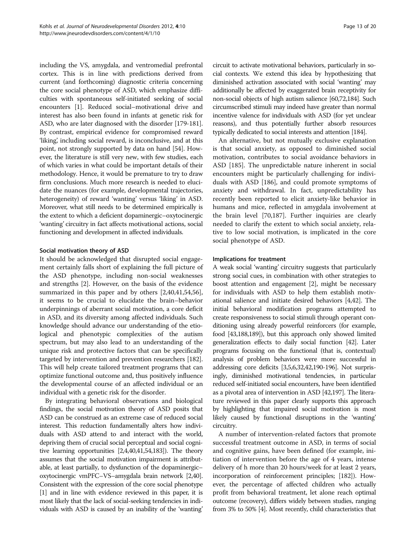including the VS, amygdala, and ventromedial prefrontal cortex. This is in line with predictions derived from current (and forthcoming) diagnostic criteria concerning the core social phenotype of ASD, which emphasize difficulties with spontaneous self-initiated seeking of social encounters [[1\]](#page-14-0). Reduced social–motivational drive and interest has also been found in infants at genetic risk for ASD, who are later diagnosed with the disorder [\[179-181](#page-18-0)]. By contrast, empirical evidence for compromised reward 'liking', including social reward, is inconclusive, and at this point, not strongly supported by data on hand [\[54\]](#page-15-0). However, the literature is still very new, with few studies, each of which varies in what could be important details of their methodology. Hence, it would be premature to try to draw firm conclusions. Much more research is needed to elucidate the nuances (for example, developmental trajectories, heterogeneity) of reward 'wanting' versus 'liking' in ASD. Moreover, what still needs to be determined empirically is the extent to which a deficient dopaminergic–oxytocinergic 'wanting' circuitry in fact affects motivational actions, social functioning and development in affected individuals.

#### Social motivation theory of ASD

It should be acknowledged that disrupted social engagement certainly falls short of explaining the full picture of the ASD phenotype, including non-social weaknesses and strengths [\[2\]](#page-14-0). However, on the basis of the evidence summarized in this paper and by others [[2,](#page-14-0)[40,41](#page-15-0),[54,56](#page-15-0)], it seems to be crucial to elucidate the brain–behavior underpinnings of aberrant social motivation, a core deficit in ASD, and its diversity among affected individuals. Such knowledge should advance our understanding of the etiological and phenotypic complexities of the autism spectrum, but may also lead to an understanding of the unique risk and protective factors that can be specifically targeted by intervention and prevention researchers [\[182](#page-18-0)]. This will help create tailored treatment programs that can optimize functional outcome and, thus positively influence the developmental course of an affected individual or an individual with a genetic risk for the disorder.

By integrating behavioral observations and biological findings, the social motivation theory of ASD posits that ASD can be construed as an extreme case of reduced social interest. This reduction fundamentally alters how individuals with ASD attend to and interact with the world, depriving them of crucial social perceptual and social cognitive learning opportunities [\[2,4,](#page-14-0)[40,41,54](#page-15-0)[,183\]](#page-18-0)). The theory assumes that the social motivation impairment is attributable, at least partially, to dysfunction of the dopaminergic– oxytocinergic vmPFC–VS–amygdala brain network [\[2](#page-14-0)[,40](#page-15-0)]. Consistent with the expression of the core social phenotype [[1](#page-14-0)] and in line with evidence reviewed in this paper, it is most likely that the lack of social-seeking tendencies in individuals with ASD is caused by an inability of the 'wanting'

circuit to activate motivational behaviors, particularly in social contexts. We extend this idea by hypothesizing that diminished activation associated with social 'wanting' may additionally be affected by exaggerated brain receptivity for non-social objects of high autism salience [[60,72](#page-15-0)[,184](#page-18-0)]. Such circumscribed stimuli may indeed have greater than normal incentive valence for individuals with ASD (for yet unclear reasons), and thus potentially further absorb resources typically dedicated to social interests and attention [\[184](#page-18-0)].

An alternative, but not mutually exclusive explanation is that social anxiety, as opposed to diminished social motivation, contributes to social avoidance behaviors in ASD [\[185\]](#page-18-0). The unpredictable nature inherent in social encounters might be particularly challenging for individuals with ASD [[186](#page-18-0)], and could promote symptoms of anxiety and withdrawal. In fact, unpredictability has recently been reported to elicit anxiety-like behavior in humans and mice, reflected in amygdala involvement at the brain level [\[70,](#page-15-0)[187\]](#page-18-0). Further inquiries are clearly needed to clarify the extent to which social anxiety, relative to low social motivation, is implicated in the core social phenotype of ASD.

#### Implications for treatment

A weak social 'wanting' circuitry suggests that particularly strong social cues, in combination with other strategies to boost attention and engagement [\[2](#page-14-0)], might be necessary for individuals with ASD to help them establish motivational salience and initiate desired behaviors [\[4](#page-14-0)[,42\]](#page-15-0). The initial behavioral modification programs attempted to create responsiveness to social stimuli through operant conditioning using already powerful reinforcers (for example, food [\[43](#page-15-0)[,188,189\]](#page-18-0)), but this approach only showed limited generalization effects to daily social function [\[42\]](#page-15-0). Later programs focusing on the functional (that is, contextual) analysis of problem behaviors were more successful in addressing core deficits [[3,5,6](#page-14-0)[,32,42](#page-15-0)[,190](#page-18-0)-[196\]](#page-18-0). Not surprisingly, diminished motivational tendencies, in particular reduced self-initiated social encounters, have been identified as a pivotal area of intervention in ASD [\[42,](#page-15-0)[197\]](#page-18-0). The literature reviewed in this paper clearly supports this approach by highlighting that impaired social motivation is most likely caused by functional disruptions in the 'wanting' circuitry.

A number of intervention-related factors that promote successful treatment outcome in ASD, in terms of social and cognitive gains, have been defined (for example, initiation of intervention before the age of 4 years, intense delivery of h more than 20 hours/week for at least 2 years, incorporation of reinforcement principles; [\[182](#page-18-0)]). However, the percentage of affected children who actually profit from behavioral treatment, let alone reach optimal outcome (recovery), differs widely between studies, ranging from 3% to 50% [\[4\]](#page-14-0). Most recently, child characteristics that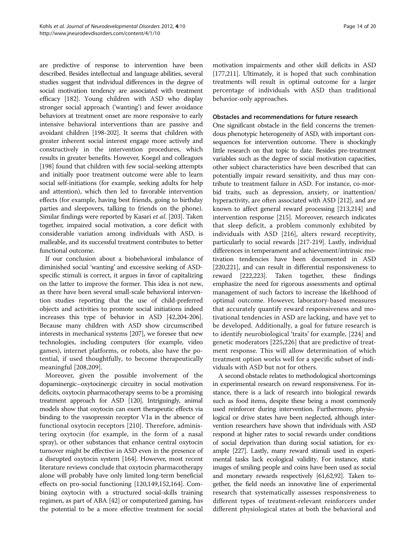are predictive of response to intervention have been described. Besides intellectual and language abilities, several studies suggest that individual differences in the degree of social motivation tendency are associated with treatment efficacy [\[182\]](#page-18-0). Young children with ASD who display stronger social approach ('wanting') and fewer avoidance behaviors at treatment onset are more responsive to early intensive behavioral interventions than are passive and avoidant children [\[198-202](#page-18-0)]. It seems that children with greater inherent social interest engage more actively and constructively in the intervention procedures, which results in greater benefits. However, Koegel and colleagues [[198](#page-18-0)] found that children with few social-seeking attempts and initially poor treatment outcome were able to learn social self-initiations (for example, seeking adults for help and attention), which then led to favorable intervention effects (for example, having best friends, going to birthday parties and sleepovers, talking to friends on the phone). Similar findings were reported by Kasari et al. [\[203\]](#page-18-0). Taken together, impaired social motivation, a core deficit with considerable variation among individuals with ASD, is malleable, and its successful treatment contributes to better functional outcome.

If our conclusion about a biobehavioral imbalance of diminished social 'wanting' and excessive seeking of ASDspecific stimuli is correct, it argues in favor of capitalizing on the latter to improve the former. This idea is not new, as there have been several small-scale behavioral intervention studies reporting that the use of child-preferred objects and activities to promote social initiations indeed increases this type of behavior in ASD [[42](#page-15-0)[,204-206](#page-18-0)]. Because many children with ASD show circumscribed interests in mechanical systems [\[207\]](#page-18-0), we foresee that new technologies, including computers (for example, video games), internet platforms, or robots, also have the potential, if used thoughtfully, to become therapeutically meaningful [\[208,209](#page-18-0)].

Moreover, given the possible involvement of the dopaminergic–oxytocinergic circuitry in social motivation deficits, oxytocin pharmacotherapy seems to be a promising treatment approach for ASD [\[120](#page-16-0)]. Intriguingly, animal models show that oxytocin can exert therapeutic effects via binding to the vasopressin receptor V1a in the absence of functional oxytocin receptors [[210\]](#page-18-0). Therefore, administering oxytocin (for example, in the form of a nasal spray), or other substances that enhance central oxytocin turnover might be effective in ASD even in the presence of a disrupted oxytocin system [[164](#page-17-0)]. However, most recent literature reviews conclude that oxytocin pharmacotherapy alone will probably have only limited long-term beneficial effects on pro-social functioning [\[120](#page-16-0)[,149,152,164\]](#page-17-0). Combining oxytocin with a structured social-skills training regimen, as part of ABA [\[42\]](#page-15-0) or computerized gaming, has the potential to be a more effective treatment for social

motivation impairments and other skill deficits in ASD [[177,211\]](#page-18-0). Ultimately, it is hoped that such combination treatments will result in optimal outcome for a larger percentage of individuals with ASD than traditional behavior-only approaches.

## Obstacles and recommendations for future research

One significant obstacle in the field concerns the tremendous phenotypic heterogeneity of ASD, with important consequences for intervention outcome. There is shockingly little research on that topic to date. Besides pre-treatment variables such as the degree of social motivation capacities, other subject characteristics have been described that can potentially impair reward sensitivity, and thus may contribute to treatment failure in ASD. For instance, co-morbid traits, such as depression, anxiety, or inattention/ hyperactivity, are often associated with ASD [[212\]](#page-18-0), and are known to affect general reward processing [\[213,214\]](#page-18-0) and intervention response [\[215](#page-18-0)]. Moreover, research indicates that sleep deficit, a problem commonly exhibited by individuals with ASD [\[216\]](#page-18-0), alters reward receptivity, particularly to social rewards [\[217](#page-18-0)-[219](#page-19-0)]. Lastly, individual differences in temperament and achievement/intrinsic motivation tendencies have been documented in ASD [[220,221\]](#page-19-0), and can result in differential responsiveness to reward [[222,223](#page-19-0)]. Taken together, these findings emphasize the need for rigorous assessments and optimal management of such factors to increase the likelihood of optimal outcome. However, laboratory-based measures that accurately quantify reward responsiveness and motivational tendencies in ASD are lacking, and have yet to be developed. Additionally, a goal for future research is to identify neurobiological 'traits' for example, [\[224](#page-19-0)] and genetic moderators [[225,226](#page-19-0)] that are predictive of treatment response. This will allow determination of which treatment option works well for a specific subset of individuals with ASD but not for others.

A second obstacle relates to methodological shortcomings in experimental research on reward responsiveness. For instance, there is a lack of research into biological rewards such as food items, despite these being a most commonly used reinforcer during intervention. Furthermore, physiological or drive states have been neglected, although intervention researchers have shown that individuals with ASD respond at higher rates to social rewards under conditions of social deprivation than during social satiation, for example [\[227\]](#page-19-0). Lastly, many reward stimuli used in experimental tasks lack ecological validity. For instance, static images of smiling people and coins have been used as social and monetary rewards respectively [\[61,62,](#page-15-0)[92](#page-16-0)]. Taken together, the field needs an innovative line of experimental research that systematically assesses responsiveness to different types of treatment-relevant reinforcers under different physiological states at both the behavioral and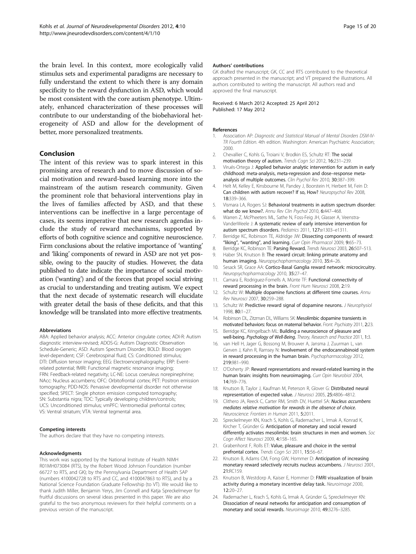<span id="page-14-0"></span>the brain level. In this context, more ecologically valid stimulus sets and experimental paradigms are necessary to fully understand the extent to which there is any domain specificity to the reward dysfunction in ASD, which would be most consistent with the core autism phenotype. Ultimately, enhanced characterization of these processes will contribute to our understanding of the biobehavioral heterogeneity of ASD and allow for the development of better, more personalized treatments.

#### Conclusion

The intent of this review was to spark interest in this promising area of research and to move discussion of social motivation and reward-based learning more into the mainstream of the autism research community. Given the prominent role that behavioral interventions play in the lives of families affected by ASD, and that these interventions can be ineffective in a large percentage of cases, its seems imperative that new research agendas include the study of reward mechanisms, supported by efforts of both cognitive science and cognitive neuroscience. Firm conclusions about the relative importance of 'wanting' and 'liking' components of reward in ASD are not yet possible, owing to the paucity of studies. However, the data published to date indicate the importance of social motivation ('wanting') and of the forces that propel social striving as crucial to understanding and treating autism. We expect that the next decade of systematic research will elucidate with greater detail the basis of these deficits, and that this knowledge will be translated into more effective treatments.

#### Abbreviations

ABA: Applied behavior analysis; ACC: Anterior cingulate cortex; ADI-R: Autism diagnostic interview-revised; ADOS-G: Autism Diagnostic Observation Schedule-Generic; ASD: Autism Spectrum Disorder; BOLD: Blood oxygen level-dependent; CSF: Cerebrospinal fluid; CS: Conditioned stimulus; DTI: Diffusion tensor imaging; EEG: Electroencephalography; ERP: Eventrelated potential; fMRI: Functional magnetic resonance imaging; FRN: Feedback-related negativity; LC-NE: Locus coeruleus norepinephrine; NAcc: Nucleus accumbens; OFC: Orbitofrontal cortex; PET: Positron emission tomography; PDD-NOS: Pervasive developmental disorder not otherwise specified; SPECT: Single photon emission computed tomography; SN: Substantia nigra; TDC: Typically developing children/controls; UCS: Unconditioned stimulus; vmPFC: Ventromedial prefrontal cortex; VS: Ventral striatum; VTA: Ventral tegmental area.

#### Competing interests

The authors declare that they have no competing interests.

#### Acknowledgments

This work was supported by the National Institute of Health NIMH R01MH073084 (RTS), by the Robert Wood Johnson Foundation (number 66727 to RTS, and GK); by the Pennsylvania Department of Health SAP (numbers 4100042728 to RTS and CC, and 4100047863 to RTS), and by a National Science Foundation Graduate Fellowship (to VT). We would like to thank Judith Miller, Benjamin Yerys, Jim Connell and Katja Spreckelmeyer for fruitful discussions on several ideas presented in this paper. We are also grateful to the two anonymous reviewers for their helpful comments on a previous version of the manuscript.

#### Authors' contributions

GK drafted the manuscript; GK, CC and RTS contributed to the theoretical approach presented in the manuscript; and VT prepared the illustrations. All authors contributed to writing the manuscript. All authors read and approved the final manuscript.

#### Received: 6 March 2012 Accepted: 25 April 2012 Published: 17 May 2012

#### References

- Association AP: Diagnostic and Statistical Manual of Mental Disorders DSM-IV-TR Fourth Edition. 4th edition. Washington: American Psychiatric Association; 2000.
- 2. Chevallier C, Kohls G, Troiani V, Brodkin ES, Schultz RT: The social motivation theory of autism. Trends Cogn Sci 2012, 16:231–239.
- 3. Virués-Ortega J: Applied behavior analytic intervention for autism in early childhood: meta-analysis, meta-regression and dose–response metaanalysis of multiple outcomes. Clin Psychol Rev 2010, 30:387-399.
- Helt M, Kelley E, Kinsbourne M, Pandey J, Boorstein H, Herbert M, Fein D: Can children with autism recover? If so, How? Neuropsychol Rev 2008, 18:339–366.
- 5. Vismara LA, Rogers SJ: Behavioral treatments in autism spectrum disorder: what do we know?. Annu Rev Clin Psychol 2010, 6:447–468.
- Warren Z, McPheeters ML, Sathe N, Foss-Feig JH, Glasser A, Veenstra-VanderWeele J: A systematic review of early intensive intervention for autism spectrum disorders. Pediatrics 2011, 127:e1303–e1311.
- 7. Berridge KC, Robinson TE, Aldridge JW: Dissecting components of reward: "liking", "wanting", and learning. Curr Opin Pharmacol 2009, 9:65–73.
- 8. Berridge KC, Robinson TE: Parsing Reward. Trends Neurosci 2003, 26:507-513. 9. Haber SN, Knutson B: The reward circuit: linking primate anatomy and
- human imaging. Neuropsychopharmacology 2010, 35:4–26.
- 10. Sesack SR, Grace AA: Cortico-Basal Ganglia reward network: microcircuitry. Neuropsychopharmacology 2010, 35:27–47.
- 11. Camara E, Rodriguez-Fornells A, Münte TF: Functional connectivity of reward processing in the brain. Front Hum Neurosci 2008, 2:19.
- 12. Schultz W: Multiple dopamine functions at different time courses. Annu Rev Neurosci 2007, 30:259–288.
- 13. Schultz W: Predictive reward signal of dopamine neurons. J Neurophysiol 1998, 80:1–27.
- 14. Robinson DL, Zitzman DL, Williams SK: Mesolimbic dopamine transients in motivated behaviors: focus on maternal behavior. Front. Psychiatry 2011, 2:23.
- 15. Berridge KC, Kringelbach ML: Building a neuroscience of pleasure and well-being. Psychology of Well-Being. Theory, Research and Practice 2011, 1:3.
- 16. van Hell H, Jager G, Bossong M, Brouwer A, Jansma J, Zuurman L, van Gerven J, Kahn R, Ramsey N: Involvement of the endocannabinoid system in reward processing in the human brain. Psychopharmacology 2012, 219:981–990.
- 17. O'Doherty JP: Reward representations and reward-related learning in the human brain: insights from neuroimaging. Curr Opin Neurobiol 2004, 14:769–776.
- 18. Knutson B, Taylor J, Kaufman M, Peterson R, Glover G: Distributed neural representation of expected value. J Neurosci 2005, 25:4806–4812.
- 19. Clithero JA, Reeck C, Carter RM, Smith DV, Huettel SA: Nucleus accumbens mediates relative motivation for rewards in the absence of choice. Neuroscience: Frontiers in Human 2011, 5:2011.
- 20. Spreckelmeyer KN, Krach S, Kohls G, Rademacher L, Irmak A, Konrad K, Kircher T, Gründer G: Anticipation of monetary and social reward differently activates mesolimbic brain structures in men and women. Soc Cogn Affect Neurosci 2009, 4:158–165.
- 21. Grabenhorst F, Rolls ET: Value, pleasure and choice in the ventral prefrontal cortex. Trends Cogn Sci 2011, 15:56-67.
- 22. Knutson B, Adams CM, Fong GW, Hommer D: Anticipation of increasing monetary reward selectively recruits nucleus accumbens. J Neurosci 2001, 21:RC159.
- 23. Knutson B, Westdorp A, Kaiser E, Hommer D: FMRI visualization of brain activity during a monetary incentive delay task. Neuroimage 2000, 12:20–27.
- 24. Rademacher L, Krach S, Kohls G, Irmak A, Gründer G, Spreckelmeyer KN: Dissociation of neural networks for anticipation and consumption of monetary and social rewards. Neuroimage 2010, 49:3276–3285.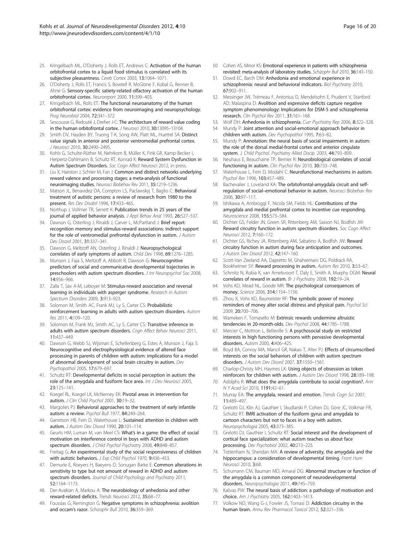- <span id="page-15-0"></span>25. Kringelbach ML, O'Doherty J, Rolls ET, Andrews C: Activation of the human orbitofrontal cortex to a liquid food stimulus is correlated with its subjective pleasantness. Cereb Cortex 2003, 13:1064–1071.
- 26. O'Doherty J, Rolls ET, Francis S, Bowtell R, McGlone F, Kobal G, Renner B, Ahne G: Sensory-specific satiety-related olfactory activation of the human orbitofrontal cortex. Neuroreport 2000, 11:399–403.
- 27. Kringelbach ML, Rolls ET: The functional neuroanatomy of the human orbitofrontal cortex: evidence from neuroimaging and neuropsychology. Prog Neurobiol 2004, 72:341–372.
- 28. Sescousse G, Redouté J, Dreher J-C: The architecture of reward value coding in the human orbitofrontal cortex. J Neurosci 2010, 30:13095-13104.
- 29. Smith DV, Hayden BY, Truong T-K, Song AW, Platt ML, Huettel SA: Distinct value signals in anterior and posterior ventromedial prefrontal cortex. J Neurosci 2010, 30:2490–2495.
- 30. Kohls G, Schulte-Rüther M, Nehrkorn B, Müller K, Fink GR, Kamp-Becker I, Herpertz-Dahlmann B, Schultz RT, Konrad K: Reward System Dysfunction in Autism Spectrum Disorders. Soc Cogn Affect Neurosci 2012, in press.
- 31. Liu X, Hairston J, Schrier M, Fan J: Common and distinct networks underlying reward valence and processing stages: a meta-analysis of functional neuroimaging studies. Neurosci Biobehav Rev 2011, 35:1219–1236.
- 32. Matson JL, Benavidez DA, Compton LS, Paclawskyj T, Baglio C: Behavioral treatment of autistic persons: a review of research from 1980 to the present. Res Dev Disabil 1996, 17:433–465.
- 33. Northup J, Vollmer TR, Serrett K: Publication trends in 25 years of the journal of applied behavior analysis. J Appl Behav Anal 1993, 26:527-537.
- 34. Dawson G, Osterling J, Rinaldi J, Carver L, McPartland J: Brief report: recognition memory and stimulus-reward associations: indirect support for the role of ventromedial prefrontal dysfunction in autism. J Autism Dev Disord 2001, 31:337–341.
- 35. Dawson G, Meltzoff AN, Osterling J, Rinaldi J: Neuropsychological correlates of early symptoms of autism. Child Dev 1998, 69:1276–1285.
- 36. Munson J, Faja S, Meltzoff A, Abbott R, Dawson G: Neurocognitive predictors of social and communicative developmental trajectories in preschoolers with autism spectrum disorders. J Int Neuropsychol Soc 2008, 14:956–966.
- 37. Zalla T, Sav A-M, Leboyer M: Stimulus-reward association and reversal learning in individuals with asperger syndrome. Research in Autism Spectrum Disorders 2009, 3:913–923.
- 38. Solomon M, Smith AC, Frank MJ, Ly S, Carter CS: Probabilistic reinforcement learning in adults with autism spectrum disorders. Autism Res 2011, 4:109–120.
- 39. Solomon M, Frank MJ, Smith AC, Ly S, Carter CS: Transitive inference in adults with autism spectrum disorders. Cogn Affect Behav Neurosci 2011, 11:437–449.
- 40. Dawson G, Webb SJ, Wijsman E, Schellenberg G, Estes A, Munson J, Faja S: Neurocognitive and electrophysiological evidence of altered face processing in parents of children with autism: implications for a model of abnormal development of social brain circuitry in autism. Dev Psychopathol 2005, 17:679–697.
- 41. Schultz RT: Developmental deficits in social perception in autism: the role of the amygdala and fusiform face area. Int J Dev Neurosci 2005, 23:125–141.
- 42. Koegel RL, Koegel LK, McNerney EK: Pivotal areas in intervention for autism. J Clin Child Psychol 2001, 30:19-32.
- 43. Margolies PJ: Behavioral approaches to the treatment of early infantile autism: a review. Psychol Bull 1977, 84:249–264.
- 44. Garretson HB, Fein D, Waterhouse L: Sustained attention in children with autism. J Autism Dev Disord 1990, 20:101–114.
- 45. Geurts HM, Luman M, van Meel CS: What's in a game: the effect of social motivation on interference control in boys with ADHD and autism spectrum disorders. J Child Psychol Psychiatry 2008, 49:848-857.
- 46. Freitag G: An experimental study of the social responsiveness of children with autistic behaviors. J Exp Child Psychol 1970, 9:436-453.
- 47. Demurie E, Roeyers H, Baeyens D, Sonugan Barke E: Common alterations in sensitivity to type but not amount of reward in ADHD and autism spectrum disorders. Journal of Child Psychology and Psychiatry 2011, 52:1164–1173.
- 48. Der-Avakian A, Markou A: The neurobiology of anhedonia and other reward-related deficits. Trends Neurosci 2012, 35:68–77.
- 49. Foussias G, Remington G: Negative symptoms in schizophrenia: avolition and occam's razor. Schizophr Bull 2010, 36:359–369.
- 50. Cohen AS, Minor KS: Emotional experience in patients with schizophrenia revisited: meta-analysis of laboratory studies. Schizophr Bull 2010, 36:143–150.
- 51. Dowd EC, Barch DM: Anhedonia and emotional experience in schizophrenia: neural and behavioral indicators. Biol Psychiatry 2010, 67:902–911.
- 52. Messinger JW, Trémeau F, Antonius D, Mendelsohn E, Prudent V, Stanford AD, Malaspina D: Avolition and expressive deficits capture negative symptom phenomenology: Implications for DSM-5 and schizophrenia research. Clin Psychol Rev 2011, 31:161–168.
- 53. Wolf DH: Anhedonia in schizophrenia. Curr Psychiatry Rep 2006, 8:322-328.
- 54. Mundy P: Joint attention and social-emotional approach behavior in children with autism. Dev Psychopathol 1995, 7:63–82.
- 55. Mundy P: Annotation: the neural basis of social impairments in autism: the role of the dorsal medial-frontal cortex and anterior cingulate system. J. Child Psychol. Psychiatry Allied Discip. 2003, 44:793-809.
- 56. Neuhaus E, Beauchaine TP, Bernier R: Neurobiological correlates of social functioning in autism. Clin Psychol Rev 2010, 30:733-748.
- 57. Waterhouse L, Fein D, Modahl C: Neurofunctional mechanisms in autism. Psychol Rev 1996, 103:457–489.
- Bachevalier J, Loveland KA: The orbitofrontal-amygdala circuit and selfregulation of social–emotional behavior in autism. Neurosci Biobehav Rev 2006, 30:97–117.
- 59. Ishikawa A, Ambroggi F, Nicola SM, Fields HL: Contributions of the amygdala and medial prefrontal cortex to incentive cue responding. Neuroscience 2008, 155:573–584.
- 60. Dichter GS, Felder JN, Green SR, Rittenberg AM, Sasson NJ, Bodfish JW: Reward circuitry function in autism spectrum disorders. Soc Cogn Affect Neurosci 2012, 7:160–172.
- 61. Dichter GS, Richey JA, Rittenberg AM, Sabatino A, Bodfish JW: Reward circuitry function in autism during face anticipation and outcomes. J Autism Dev Disord 2012, 42:147–160.
- 62. Scott-Van Zeeland AA, Dapretto M, Ghahremani DG, Poldrack RA, Bookheimer SY: Reward processing in autism. Autism Res 2010, 3:53–67.
- 63. Schmitz N, Rubia K, van Amelsvoort T, Daly E, Smith A, Murphy DGM: Neural correlates of reward in autism. Br J Psychiatry 2008, 192:19–24.
- 64. Vohs KD, Mead NL, Goode MR: The psychological consequences of money. Science 2006, 314:1154–1156.
- 65. Zhou X, Vohs KD, Baumeister RF: The symbolic power of money: reminders of money alter social distress and physical pain. Psychol Sci 2009, 20:700–706.
- 66. Warneken F, Tomasello M: Extrinsic rewards undermine altruistic tendencies in 20-month-olds. Dev Psychol 2008, 44:1785–1788.
- 67. Mercier C, Mottron L, Belleville S: A psychosocial study on restricted interests in high functioning persons with pervasive developmental disorders. Autism 2000, 4:406–425.
- 68. Boyd BA, Conroy MA, Mancil GR, Nakao T, Alter PJ: Effects of circumscribed interests on the social behaviors of children with autism spectrum disorders. J Autism Dev Disord 2007, 37:1550–1561.
- 69. Charlop-Christy MH, Haymes LK: Using objects of obsession as token reinforcers for children with autism. J Autism Dev Disord 1998, 28:189–198.
- 70. Adolphs R: What does the amygdala contribute to social cognition?. Ann N Y Acad Sci 2010, 1191:42–61.
- 71. Murray EA: The amygdala, reward and emotion. Trends Cogn Sci 2007, 11:489–497.
- 72. Grelotti DJ, Klin AJ, Gauthier I, Skudlarski P, Cohen DJ, Gore JC, Volkmar FR, Schultz RT: fMRI activation of the fusiform gyrus and amygdala to cartoon characters but not to faces in a boy with autism. Neuropsychologia 2005, 43:373–385.
- 73. Grelotti DJ, Gauthier I, Schultz RT: Social interest and the development of cortical face specialization: what autism teaches us about face processing. Dev Psychobiol 2002, 40:213–225.
- 74. Tottenham N, Sheridan MA: A review of adversity, the amygdala and the hippocampus: a consideration of developmental timing. Front Hum Neurosci 2010, 3:68.
- 75. Schumann CM, Bauman MD, Amaral DG: Abnormal structure or function of the amygdala is a common component of neurodevelopmental disorders. Neuropsychologia 2011, 49:745-759.
- Kalivas PW: The neural basis of addiction: a pathology of motivation and choice. Am J Psychiatry 2005, 162:1403–1413.
- 77. Volkow ND, Wang G-J, Fowler JS, Tomasi D: Addiction circuitry in the human brain. Annu Rev Pharmacol Toxicol 2012, 52:321–336.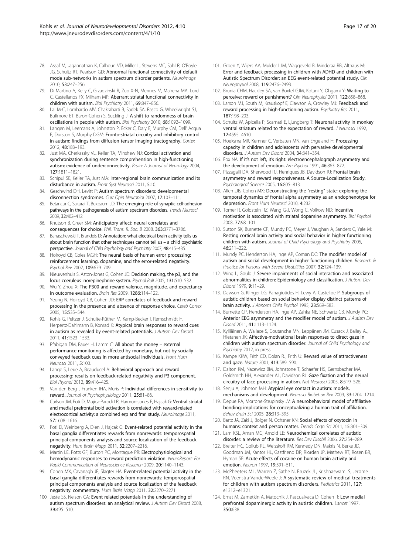- <span id="page-16-0"></span>78. Assaf M, Jagannathan K, Calhoun VD, Miller L, Stevens MC, Sahl R, O'Boyle JG, Schultz RT, Pearlson GD: Abnormal functional connectivity of default mode sub-networks in autism spectrum disorder patients. Neuroimage 2010, 53:247–256.
- 79. Di Martino A, Kelly C, Grzadzinski R, Zuo X-N, Mennes M, Mairena MA, Lord C, Castellanos FX, Milham MP: Aberrant striatal functional connectivity in children with autism. Biol Psychiatry 2011, 69:847–856.
- 80. Lai M-C, Lombardo MV, Chakrabarti B, Sadek SA, Pasco G, Wheelwright SJ, Bullmore ET, Baron-Cohen S, Suckling J: A shift to randomness of brain oscillations in people with autism. Biol Psychiatry 2010, 68:1092–1099.
- 81. Langen M, Leemans A, Johnston P, Ecker C, Daly E, Murphy CM, Dell' Acqua F, Durston S, Murphy DGM: Fronto-striatal circuitry and inhibitory control in autism: findings from diffusion tensor imaging tractography. Cortex 2012, 48:183–193.
- 82. Just MA, Cherkassky VL, Keller TA, Minshew NJ: Cortical activation and synchronization during sentence comprehension in high-functioning autism: evidence of underconnectivity. Brain: A Journal of Neurology 2004, 127:1811–1821.
- 83. Schipul SE, Keller TA, Just MA: Inter-regional brain communication and its disturbance in autism. Front Syst Neurosci 2011, 5:10.
- 84. Geschwind DH, Levitt P: Autism spectrum disorders: developmental disconnection syndromes. Curr Opin Neurobiol 2007, 17:103–111.
- 85. Betancur C, Sakurai T, Buxbaum JD: The emerging role of synaptic cell-adhesion pathways in the pathogenesis of autism spectrum disorders. Trends Neurosci 2009, 32:402–412.
- 86. Knutson B, Greer SM: Anticipatory affect: neural correlates and consequences for choice. Phil. Trans. R. Soc. B 2008, 363:3771–3786.
- 87. Banaschewski T, Brandeis D: Annotation: what electrical brain activity tells us about brain function that other techniques cannot tell us – a child psychiatric perspective. Journal of Child Psychology and Psychiatry 2007, 48:415-435.
- 88. Holroyd CB, Coles MGH: The neural basis of human error processing: reinforcement learning, dopamine, and the error-related negativity. Psychol Rev 2002, 109:679–709.
- 89. Nieuwenhuis S, Aston-Jones G, Cohen JD: Decision making, the p3, and the locus coeruleus–norepinephrine system. Psychol Bull 2005, 131:510–532.
- 90. Wu Y, Zhou X: The P300 and reward valence, magnitude, and expectancy in outcome evaluation. Brain Res 2009, 1286:114–122.
- 91. Yeung N, Holroyd CB, Cohen JD: ERP correlates of feedback and reward processing in the presence and absence of response choice. Cereb Cortex 2005, 15:535–544.
- 92. Kohls G, Peltzer J, Schulte-Rüther M, Kamp-Becker I, Remschmidt H, Herpertz-Dahlmann B, Konrad K: Atypical brain responses to reward cues in autism as revealed by event-related potentials. J Autism Dev Disord 2011, 41:1523–1533.
- 93. Pfabigan DM, Bauer H, Lamm C: All about the money external performance monitoring is affected by monetary, but not by socially conveyed feedback cues in more antisocial individuals. Front Hum Neurosci 2011, 5:100.
- 94. Lange S, Leue A, Beauducel A: Behavioral approach and reward processing: results on feedback-related negativity and P3 component. Biol Psychol 2012, 89:416–425.
- 95. Van den Berg I, Franken IHA, Muris P: Individual differences in sensitivity to reward. Journal of Psychophysiology 2011, 25:81–86.
- 96. Carlson JM, Foti D, Mujica-Parodi LR, Harmon-Jones E, Hajcak G: Ventral striatal and medial prefrontal bold activation is correlated with reward-related electrocortical activity: a combined erp and fmri study. Neuroimage 2011, 57:1608–1616.
- 97. Foti D, Weinberg A, Dien J, Hajcak G: Event-related potential activity in the basal ganglia differentiates rewards from nonrewards: temporospatial principal components analysis and source localization of the feedback negativity. Hum Brain Mapp 2011, 32:2207–2216.
- 98. Martin LE, Potts GF, Burton PC, Montague PR: Electrophysiological and hemodynamic responses to reward prediction violation. NeuroReport: For Rapid Communication of Neuroscience Research 2009, 20:1140–1143.
- 99. Cohen MX, Cavanagh JF, Slagter HA: Event-related potential activity in the basal ganglia differentiates rewards from nonrewards: temporospatial principal components analysis and source localization of the feedback negativity: commentary. Hum Brain Mapp 2011, 32:2270–2271.
- 100. Jeste SS, Nelson CA: Event related potentials in the understanding of autism spectrum disorders: an analytical review. J Autism Dev Disord 2008, 39:495–510.
- 101. Groen Y, Wijers AA, Mulder LJM, Waggeveld B, Minderaa RB, Althaus M: Error and feedback processing in children with ADHD and children with Autistic Spectrum Disorder: an EEG event-related potential study. Clin Neurophysiol 2008, 119:2476-2493.
- 102. Brunia CHM, Hackley SA, van Boxtel GJM, Kotani Y, Ohgami Y: Waiting to perceive: reward or punishment? Clin Neurophysiol 2011, 122:858-868.
- 103. Larson MJ, South M, Krauskopf E, Clawson A, Crowley MJ: Feedback and reward processing in high-functioning autism. Psychiatry Res 2011, 187:198–203.
- 104. Schultz W, Apicella P, Scarnati E, Ljungberg T: Neuronal activity in monkey ventral striatum related to the expectation of reward. J Neurosci 1992, 12:4595–4610.
- 105. Hoeksma MR, Kemner C, Verbaten MN, van Engeland H: Processing capacity in children and adolescents with pervasive developmental disorders. J Autism Dev Disord 2004, 34:341-354.
- 106. Fox NA: If it's not left, it's right: electroencephalograph asymmetry and the development of emotion. Am Psychol 1991, 46:863-872.
- 107. Pizzagalli DA, Sherwood RJ, Henriques JB, Davidson RJ: Frontal brain asymmetry and reward responsiveness. A Source-Localization Study. Psychological Science 2005, 16:805-813.
- 108. Allen JJB, Cohen MX: Deconstructing the "resting" state: exploring the temporal dynamics of frontal alpha asymmetry as an endophenotype for depression. Front Hum Neurosci 2010, 4:232.
- 109. Tomer R, Goldstein RZ, Wang G-J, Wong C, Volkow ND: Incentive motivation is associated with striatal dopamine asymmetry. Biol Psychol 2008, 77:98–101.
- 110. Sutton SK, Burnette CP, Mundy PC, Meyer J, Vaughan A, Sanders C, Yale M: Resting cortical brain activity and social behavior in higher functioning children with autism. Journal of Child Psychology and Psychiatry 2005, 46:211–222.
- 111. Mundy PC, Henderson HA, Inge AP, Coman DC: The modifier model of autism and social development in higher functioning children. Research & Practice for Persons with Severe Disabilities 2007, 32:124–139.
- 112. Wing L, Gould J: Severe impairments of social interaction and associated abnormalities in children: Epidemiology and classification. J Autism Dev Disord 1979, 9:11–29.
- 113. Dawson G, Klinger LG, Panagiotides H, Lewy A, Castelloe P: Subgroups of autistic children based on social behavior display distinct patterns of brain activity. J Abnorm Child Psychol 1995, 23:569-583.
- 114. Burnette CP, Henderson HA, Inge AP, Zahka NE, Schwartz CB, Mundy PC: Anterior EEG asymmetry and the modifier model of autism. J Autism Dev Disord 2011, 41:1113–1124.
- 115. Kylliäinen A, Wallace S, Coutanche MN, Leppänen JM, Cusack J, Bailey AJ, Hietanen JK: Affective-motivational brain responses to direct gaze in children with autism spectrum disorder. Journal of Child Psychology and Psychiatry 2012, in press.
- 116. Kampe KKW, Frith CD, Dolan RJ, Frith U: Reward value of attractiveness and gaze. Nature 2001, 413:589–590.
- 117. Dalton KM, Nacewicz BM, Johnstone T, Schaefer HS, Gernsbacher MA, Goldsmith HH, Alexander AL, Davidson RJ: Gaze fixation and the neural circuitry of face processing in autism. Nat Neurosci 2005, 8:519–526.
- 118. Senju A, Johnson MH: Atypical eye contact in autism: models, mechanisms and development. Neurosci Biobehav Rev 2009, 33:1204–1214.
- 119. Depue RA, Morrone-Strupinsky JV: A neurobehavioral model of affiliative bonding: implications for conceptualizing a human trait of affiliation. Behav Brain Sci 2005, 28:313–395.
- 120. Bartz JA, Zaki J, Bolger N, Ochsner KN: Social effects of oxytocin in humans: context and person matter. Trends Cogn Sci 2011, 15:301-309.
- 121. Lam KSL, Aman MG, Arnold LE: Neurochemical correlates of autistic disorder: a review of the literature. Res Dev Disabil 2006, 27:254–289.
- 122. Breiter HC, Gollub RL, Weisskoff RM, Kennedy DN, Makris N, Berke JD, Goodman JM, Kantor HL, Gastfriend DR, Riorden JP, Mathew RT, Rosen BR, Hyman SE: Acute effects of cocaine on human brain activity and emotion. Neuron 1997, 19:591-611.
- 123. McPheeters ML, Warren Z, Sathe N, Bruzek JL, Krishnaswami S, Jerome RN, Veenstra-VanderWeele J: A systematic review of medical treatments for children with autism spectrum disorders. Pediatrics 2011, 127: e1312–e1321.
- 124. Ernst M, Zametkin A, Matochik J, Pascualvaca D, Cohen R: Low medial prefrontal dopaminergic activity in autistic children. Lancet 1997, 350:638.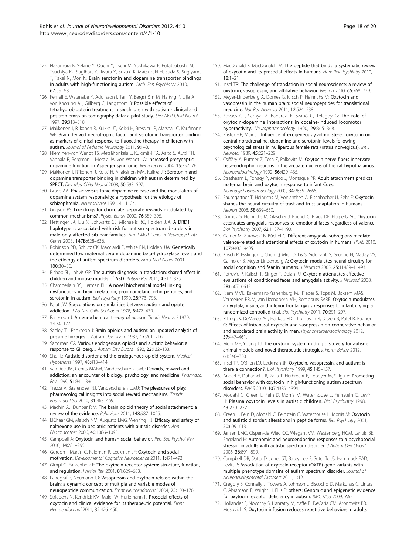- <span id="page-17-0"></span>125. Nakamura K, Sekine Y, Ouchi Y, Tsujii M, Yoshikawa E, Futatsubashi M, Tsuchiya KJ, Sugihara G, Iwata Y, Suzuki K, Matsuzaki H, Suda S, Sugiyama T, Takei N, Mori N: Brain serotonin and dopamine transporter bindings in adults with high-functioning autism. Arch Gen Psychiatry 2010, 67:59–68.
- 126. Fernell E, Watanabe Y, Adolfsson I, Tani Y, Bergström M, Hartvig P, Lilja A, von Knorring AL, Gillberg C, Langstrom B: Possible effects of tetrahydrobiopterin treatment in six children with autism - clinical and positron emission tomography data: a pilot study. Dev Med Child Neurol 1997, 39:313–318.
- 127. Makkonen I, Riikonen R, Kuikka JT, Kokki H, Bressler JP, Marshall C, Kaufmann WE: Brain derived neurotrophic factor and serotonin transporter binding as markers of clinical response to fluoxetine therapy in children with autism. Journal of Pediatric Neurology 2011, 9:1-8.
- 128. Nieminen-von Wendt TS, Metsähonkala L, Kulomäki TA, Aalto S, Autti TH, Vanhala R, Bergman J, Hietala JA, von Wendt LO: Increased presynaptic dopamine function in Asperger syndrome. Neuroreport 2004, 15:757–76.
- 129. Makkonen I, Riikonen R, Kokki H, Airaksinen MM, Kuikka JT: Serotonin and dopamine transporter binding in children with autism determined by SPECT. Dev Med Child Neurol 2008, 50:593–597.
- 130. Grace AA: Phasic versus tonic dopamine release and the modulation of dopamine system responsivity: a hypothesis for the etiology of schizophrenia. Neuroscience 1991, 41:1–24.
- 131. Grigson PS: Like drugs for chocolate: separate rewards modulated by common mechanisms? Physiol Behav 2002, 76:389–395.
- 132. Hettinger JA, Liu X, Schwartz CE, Michaelis RC, Holden JJA: A DRD1 haplotype is associated with risk for autism spectrum disorders in male-only affected sib-pair families. Am J Med Genet B Neuropsychiatr Genet 2008, 147B:628–636.
- 133. Robinson PD, Schutz CK, Macciardi F, White BN, Holden JJA: Genetically determined low maternal serum dopamine beta-hydroxylase levels and the etiology of autism spectrum disorders. Am J Med Genet 2001, 100:30–36.
- 134. Bishop SL, Lahvis GP: The autism diagnosis in translation: shared affect in children and mouse models of ASD. Autism Res 2011, 4:317–335.
- 135. Chamberlain RS, Herman BH: A novel biochemical model linking dysfunctions in brain melatonin, proopiomelanocortin peptides, and serotonin in autism. Biol Psychiatry 1990, 28:773-793.
- 136. Kalat JW: Speculations on similarities between autism and opiate addiction. J Autism Child Schizophr 1978, 8:477–479.
- 137. Panksepp J: A neurochemical theory of autism. Trends Neurosci 1979, 2:174–177.
- 138. Sahley TL, Panksepp J: Brain opioids and autism: an updated analysis of possible linkages. J Autism Dev Disord 1987, 17:201–216.
- 139. Sandman CA: Various endogenous opioids and autistic behavior: a response to Gillberg. J Autism Dev Disord 1992, 22:132–133.
- 140. Sher L: Autistic disorder and the endogenous opioid system. Medical Hypotheses 1997, 48:413–414.
- 141. van Ree JM, Gerrits MAFM, Vanderschuren LJMJ: Opioids, reward and addiction: an encounter of biology, psychology, and medicine. Pharmacol Rev 1999, 51:341–396.
- 142. Trezza V, Baarendse PJJ, Vanderschuren LJMJ: The pleasures of play: pharmacological insights into social reward mechanisms. Trends Pharmacol Sci 2010, 31:463–469.
- 143. Machin AJ, Dunbar RIM: The brain opioid theory of social attachment: a review of the evidence. Behaviour 2011, 148:987–1025.
- 144. ElChaar GM, Maisch NM, Augusto LMG, Wehring HJ: Efficacy and safety of naltrexone use in pediatric patients with autistic disorder. Ann Pharmacother 2006, 40:1086–1095.
- 145. Campbell A: Oxytocin and human social behavior. Pers Soc Psychol Rev 2010, 14:281–295.
- 146. Gordon I, Martin C, Feldman R, Leckman JF: Oxytocin and social motivation. Developmental Cognitive Neuroscience 2011, 1:471–493.
- 147. Gimpl G, Fahrenholz F: The oxytocin receptor system: structure, function, and regulation. Physiol Rev 2001, 81:629–683.
- 148. Landgraf R, Neumann ID: Vasopressin and oxytocin release within the brain: a dynamic concept of multiple and variable modes of neuropeptide communication. Front Neuroendocrinol 2004, 25:150–176.
- 149. Striepens N, Kendrick KM, Maier W, Hurlemann R: Prosocial effects of oxytocin and clinical evidence for its therapeutic potential. Front Neuroendocrinol 2011, 32:426–450.
- 150. MacDonald K, MacDonald TM: The peptide that binds: a systematic review of oxycotin and its prosocial effects in humans. Harv Rev Psychiatry 2010,  $18.1 - 21$
- 151. Insel TR: The challenge of translation in social neuroscience: a review of oxytocin, vasopressin, and affiliative behavior. Neuron 2010, 65:768–779.
- 152. Meyer-Lindenberg A, Domes G, Kirsch P, Heinrichs M: Oxytocin and vasopressin in the human brain: social neuropeptides for translational medicine. Nat Rev Neurosci 2011, 12:524–538.
- 153. Kovàcs GL, Sarnyai Z, Babarczi E, Szabó G, Telegdy G: The role of oxytocin-dopamine interactions in cocaine-induced locomotor hyperactivity. Neuropharmacology 1990, 29:365–368.
- 154. Pfister HP, Muir JL: Influence of exogeneously administered oxytocin on central noradrenaline, dopamine and serotonin levels following psychological stress in nulliparous female rats (rattus norvegicus). Int J Neurosci 1989, 45:221–229.
- 155. Csiffáry A, Ruttner Z, Tóth Z, Palkovits M: Oxytocin nerve fibers innervate beta-endorphin neurons in the arcuate nucleus of the rat hypothalamus. Neuroendocrinology 1992, 56:429–435.
- 156. Strathearn L, Fonagy P, Amico J, Montague PR: Adult attachment predicts maternal brain and oxytocin response to infant Cues. Neuropsychopharmacology 2009, 34:2655–2666.
- 157. Baumgartner T, Heinrichs M, Vonlanthen A, Fischbacher U, Fehr E: Oxytocin shapes the neural circuitry of trust and trust adaptation in humans. Neuron 2008, 58:639-650.
- 158. Domes G, Heinrichs M, Gläscher J, Büchel C, Braus DF, Herpertz SC: Oxytocin attenuates amygdala responses to emotional faces regardless of valence. Biol Psychiatry 2007, 62:1187–1190.
- 159. Gamer M, Zurowski B, Büchel C: Different amygdala subregions mediate valence-related and attentional effects of oxytocin in humans. PNAS 2010, 107:9400–9405.
- 160. Kirsch P, Esslinger C, Chen Q, Mier D, Lis S, Siddhanti S, Gruppe H, Mattay VS, Gallhofer B, Meyer-Lindenberg A: Oxytocin modulates neural circuitry for social cognition and fear in humans. J Neurosci 2005, 25:11489-11493.
- 161. Petrovic P, Kalisch R, Singer T, Dolan RJ: Oxytocin attenuates affective evaluations of conditioned faces and amygdala activity. J Neurosci 2008, 28:6607–6615.
- 162. Riem MME, Bakermans-Kranenburg MJ, Pieper S, Tops M, Boksem MAS, Vermeiren RRJM, van IJzendoorn MH, Rombouts SARB: Oxytocin modulates amygdala, insula, and inferior frontal gyrus responses to infant crying: a randomized controlled trial. Biol Psychiatry 2011, 70:291–297.
- 163. Rilling JK, DeMarco AC, Hackett PD, Thompson R, Ditzen B, Patel R, Pagnoni G: Effects of intranasal oxytocin and vasopressin on cooperative behavior and associated brain activity in men. Psychoneuroendocrinology 2012, 37:447–461.
- 164. Modi ME, Young LJ: The oxytocin system in drug discovery for autism: animal models and novel therapeutic strategies. Horm Behav 2012, 61:340–350.
- 165. Insel TR, O'Brien DJ, Leckman JF: Oxytocin, vasopressin, and autism: is there a connection?. Biol Psychiatry 1999, 45:145-157.
- 166. Andari E, Duhamel J-R, Zalla T, Herbrecht E, Leboyer M, Sirigu A: Promoting social behavior with oxytocin in high-functioning autism spectrum disorders. PNAS 2010, 107:4389–4394.
- 167. Modahl C, Green L, Fein D, Morris M, Waterhouse L, Feinstein C, Levin H: Plasma oxytocin levels in autistic children. Biol Psychiatry 1998, 43:270–277.
- 168. Green L, Fein D, Modahl C, Feinstein C, Waterhouse L, Morris M: Oxytocin and autistic disorder: alterations in peptide forms. Biol Psychiatry 2001, 50:609–613.
- 169. Jansen LMC, Gispen-de Wied CC, Wiegant VM, Westenberg HGM, Lahuis BE, Engeland H: Autonomic and neuroendocrine responses to a psychosocial stressor in adults with autistic spectrum disorder. J Autism Dev Disord 2006, 36:891–899.
- 170. Campbell DB, Datta D, Jones ST, Batey Lee E, Sutcliffe JS, Hammock EAD, Levitt P: Association of oxytocin receptor (OXTR) gene variants with multiple phenotype domains of autism spectrum disorder. Journal of Neurodevelopmental Disorders 2011, 1:12.
- 171. Gregory S, Connelly J, Towers A, Johnson J, Biscocho D, Markunas C, Lintas C, Abramson R, Wright H, Ellis P: others: Genomic and epigenetic evidence for oxytocin receptor deficiency in autism. BMC Med 2009, 7:62.
- 172. Hollander E, Novotny S, Hanratty M, Yaffe R, DeCaria CM, Aronowitz BR, Mosovich S: Oxytocin infusion reduces repetitive behaviors in adults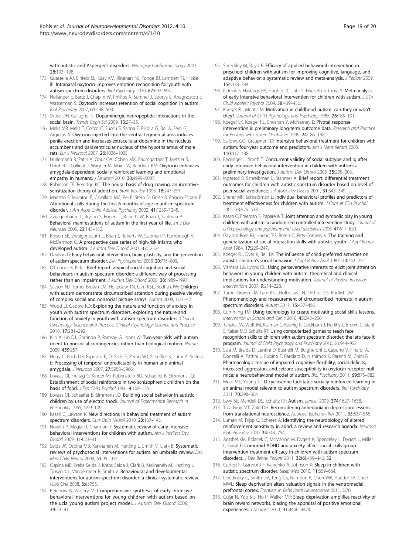<span id="page-18-0"></span>with autistic and Asperger's disorders. Neuropsychopharmacology 2003, 28:193–198.

- 173. Guastella AJ, Einfeld SL, Gray KM, Rinehart NJ, Tonge BJ, Lambert TJ, Hickie IB: Intranasal oxytocin improves emotion recognition for youth with autism spectrum disorders. Biol Psychiatry 2010, 67:692–694.
- 174. Hollander E, Bartz J, Chaplin W, Phillips A, Sumner J, Soorya L, Anagnostou E, Wasserman S: Oxytocin increases retention of social cognition in autism. Biol Psychiatry 2007, 61:498–503.
- 175. Skuse DH, Gallagher L: Dopaminergic-neuropeptide interactions in the social brain. Trends Cogn Sci 2009, 13:27-35.
- 176. Melis MR, Melis T, Cocco C, Succu S, Sanna F, Pillolla G, Boi A, Ferri G, Argiolas A: Oxytocin injected into the ventral tegmental area induces penile erection and increases extracellular dopamine in the nucleus accumbens and paraventricular nucleus of the hypothalamus of male rats. Eur J Neurosci 2007, 26:1026–1035.
- 177. Hurlemann R, Patin A, Onur OA, Cohen MX, Baumgartner T, Metzler S, Dziobek I, Gallinat J, Wagner M, Maier W, Kendrick KM: Oxytocin enhances amygdala-dependent, socially reinforced learning and emotional empathy in humans. J Neurosci 2010, 30:4999-5007.
- 178. Robinson TE, Berridge KC: The neural basis of drug craving: an incentivesensitization theory of addiction. Brain Res Rev 1993, 18:247-291.
- 179. Maestro S, Muratori F, Cavallaro MC, Pei F, Stern D, Golse B, Palacio-Espasa F: Attentional skills during the first 6 months of age in autism spectrum disorder. J Am Acad Child Adolesc Psychiatry 2002, 41:1239-1245.
- 180. Zwaigenbaum L, Bryson S, Rogers T, Roberts W, Brian J, Szatmari P: Behavioral manifestations of autism in the first year of life. Int J Dev Neurosci 2005, 23:143–152.
- 181. Bryson SE, Zwaigenbaum L, Brian J, Roberts W, Szatmari P, Rombough V, McDermott C: A prospective case series of high-risk infants who developed autism. J Autism Dev Disord 2007, 37:12–24.
- 182. Dawson G: Early behavioral intervention, brain plasticity, and the prevention of autism spectrum disorder. Dev Psychopathol 2008, 20:775–803.
- 183. O'Connor K, Kirk I: Brief report: atypical social cognition and social behaviours in autism spectrum disorder: a different way of processing rather than an impairment. J Autism Dev Disord 2008, 38:1989–1997.
- 184. Sasson NJ, Turner-Brown LM, Holtzclaw TN, Lam KSL, Bodfish JW: Children with autism demonstrate circumscribed attention during passive viewing of complex social and nonsocial picture arrays. Autism 2008, 1:31–42.
- 185. Wood JJ, Gadow KD: Exploring the nature and function of anxiety in youth with autism spectrum disorders, exploring the nature and function of anxiety in youth with autism spectrum disorders. Clinical Psychology: Science and Practice, Clinical Psychology: Science and Practice 2010, 17:281–292.
- 186. Klin A, Lin DJ, Gorrindo P, Ramsay G, Jones W: Two-year-olds with autism orient to nonsocial contingencies rather than biological motion. Nature 2009, 459:257.
- 187. Herry C, Bach DR, Esposito F, Di Salle F, Perrig WJ, Scheffler K, Lüthi A, Seifritz E: Processing of temporal unpredictability in human and animal amygdala. J Neurosci 2007, 27:5958–5966.
- 188. Lovaas OI, Freitag G, Kinder MI, Rubenstein BD, Schaeffer B, Simmons JQ: Establishment of social reinforcers in two schizophrenic children on the basis of food. J Exp Child Psychol 1966, 4:109-125.
- 189. Lovaas OI, Schaeffer B, Simmons JQ: Building social behavior in autistic children by use of electric shock. Journal of Experimental Research in Personality 1965, 1:99–109.
- 190. Kasari C, Lawton K: New directions in behavioral treatment of autism spectrum disorders. Curr Opin Neurol 2010, 23:137-143.
- 191. Howlin P, Magiati I, Charman T: Systematic review of early intensive behavioral interventions for children with autism. Am J Intellect Dev Disabil 2009, 114:23–41.
- 192. Seida JK, Ospina MB, Karkhaneh M, Hartling L, Smith V, Clark B: Systematic reviews of psychosocial interventions for autism: an umbrella review. Dev Med Child Neurol 2009, 51:95–104.
- 193. Ospina MB, Krebs Seida J, Krebs Seida J, Clark B, Karkhaneh M, Hartling L, Tjosvold L, Vandermeer B, Smith V: Behavioural and developmental interventions for autism spectrum disorder: a clinical systematic review. PLoS One 2008, 3:e3755.
- 194. Reichow B, Wolery M: Comprehensive synthesis of early intensive behavioral interventions for young children with autism based on the ucla young autism project model. J Autism Dev Disord 2008, 39:23–41.
- 195. Spreckley M, Boyd R: Efficacy of applied behavioral intervention in preschool children with autism for improving cognitive, language, and adaptive behavior: a systematic review and meta-analysis. J Pediatr 2009, 154:338–344.
- 196. Eldevik S, Hastings RP, Hughes JC, Jahr E, Eikeseth S, Cross S: Meta-analysis of early intensive behavioral intervention for children with autism. J Clin Child Adolesc Psychol 2009, 38:439–450.
- 197. Koegel RL, Mentis M: Motivation in childhood autism: can they or won't they?. Journal of Child Psychology and Psychiatry 1985, 26:185-191.
- 198. Koegel LK, Koegel RL, Shoshan Y, McNerney E: Pivotal response intervention ii: preliminary long-term outcome data. Research and Practice for Persons with Severe Disabilities 1999, 24:186–198.
- 199. Sallows GO, Graupner TD: Intensive behavioral treatment for children with autism: four-year outcome and predictors. Am J Ment Retard 2005, 110:417–438.
- 200. Beglinger L, Smith T: Concurrent validity of social subtype and ig after early intensive behavioral intervention in children with autism: a preliminary investigation. J Autism Dev Disord 2005, 35:295–303.
- 201. Ingersoll B, Schreibman L, Stahmer A: Brief report: differential treatment outcomes for children with autistic spectrum disorder based on level of peer social avoidance. J Autism Dev Disord 2001, 31:343–349.
- 202. Sherer MR, Schreibman L: Individual behavioral profiles and predictors of treatment effectiveness for children with autism. J Consult Clin Psychol 2005, 73:525–538.
- 203. Kasari C, Freeman S, Paparella T: Joint attention and symbolic play in young children with autism: a randomized controlled intervention study. Journal of child psychology and psychiatry and allied disciplines 2006, 47:611–620.
- 204. Gaylord-Ross RJ, Haring TG, Breen C, Pitts-Conway V: The training and generalization of social interaction skills with autistic youth. J Appl Behav Anal 1984, 17:229-247.
- 205. Koegel RL, Dyer K, Bell LK: The influence of child-preferred activities on autistic children's social behavior. J Appl Behav Anal 1987, 20:243–252.
- 206. Vismara LA, Lyons GL: Using perseverative interests to elicit joint attention behaviors in young children with autism: theoretical and clinical implications for understanding motivation. Journal of Positive Behavior Interventions 2007, 9:214–228.
- 207. Turner-Brown LM, Lam KSL, Holtzclaw TN, Dichter GS, Bodfish JW: Phenomenology and measurement of circumscribed interests in autism spectrum disorders. Autism 2011, 15:437–456.
- 208. Cumming TM: Using technology to create motivating social skills lessons. Intervention in School and Clinic 2010, 45:242–250.
- 209. Tanaka JW, Wolf JM, Klaiman C, Koenig K, Cockburn J, Herlihy L, Brown C, Stahl S, Kaiser MD, Schultz RT: Using computerized games to teach face recognition skills to children with autism spectrum disorder: the let's face it! program. Journal of Child Psychology and Psychiatry 2010, 51:944–952.
- 210. Sala M, Braida D, Lentini D, Busnelli M, Bulgheroni E, Capurro V, Finardi A, Donzelli A, Pattini L, Rubino T, Parolaro D, Nishimori K, Parenti M, Chini B: Pharmacologic rescue of impaired cognitive flexibility, social deficits, increased aggression, and seizure susceptibility in oxytocin receptor null mice: a neurobehavioral model of autism. Biol Psychiatry 2011, 69:875–882.
- 211. Modi ME, Young LJ: D-cycloserine facilitates socially reinforced learning in an animal model relevant to autism spectrum disorders. Biol Psychiatry 2011, 70:298–304.
- 212. Levy SE, Mandell DS, Schultz RT: Autism. Lancet 2009, 374:1627–1638.
- 213. Treadway MT, Zald DH: Reconsidering anhedonia in depression: lessons from translational neuroscience. Neurosci Biobehav Rev 2011, 35:537–555.
- 214. Luman M, Tripp G, Scheres A: Identifying the neurobiology of altered reinforcement sensitivity in adhd: a review and research agenda. Neurosci Biobehav Rev 2010, 34:744–754.
- 215. Antshel KM, Polacek C, McMahon M, Dygert K, Spenceley L, Dygert L, Miller L, Faisal F: Comorbid ADHD and anxiety affect social skills group intervention treatment efficacy in children with autism spectrum disorders. J Dev Behav Pediatr 2011, 32(6):439-446. 32.
- 216. Cortesi F, Giannotti F, Ivanenko A, Johnson K: Sleep in children with autistic spectrum disorder. Sleep Med 2010, 11:659–664.
- 217. Libedinsky C, Smith DV, Teng CS, Namburi P, Chen VW, Huettel SA, Chee MWL: Sleep deprivation alters valuation signals in the ventromedial prefrontal cortex. Frontiers in Behavioral Neuroscience 2011, 5:70.
- 218. Gujar N, Yoo S-S, Hu P, Walker MP: Sleep deprivation amplifies reactivity of brain reward networks, biasing the appraisal of positive emotional experiences. J Neurosci 2011, 31:4466–4474.